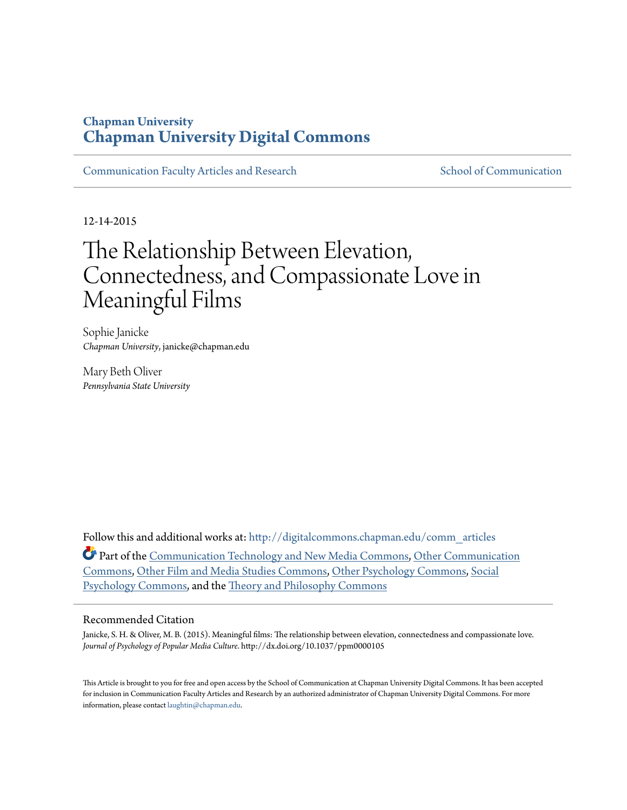### **Chapman University [Chapman University Digital Commons](http://digitalcommons.chapman.edu?utm_source=digitalcommons.chapman.edu%2Fcomm_articles%2F40&utm_medium=PDF&utm_campaign=PDFCoverPages)**

[Communication Faculty Articles and Research](http://digitalcommons.chapman.edu/comm_articles?utm_source=digitalcommons.chapman.edu%2Fcomm_articles%2F40&utm_medium=PDF&utm_campaign=PDFCoverPages) [School of Communication](http://digitalcommons.chapman.edu/communication?utm_source=digitalcommons.chapman.edu%2Fcomm_articles%2F40&utm_medium=PDF&utm_campaign=PDFCoverPages)

12-14-2015

# The Relationship Between Elevation, Connectedness, and Compassionate Love in Meaningful Films

Sophie Janicke *Chapman University*, janicke@chapman.edu

Mary Beth Oliver *Pennsylvania State University*

Follow this and additional works at: [http://digitalcommons.chapman.edu/comm\\_articles](http://digitalcommons.chapman.edu/comm_articles?utm_source=digitalcommons.chapman.edu%2Fcomm_articles%2F40&utm_medium=PDF&utm_campaign=PDFCoverPages) Part of the [Communication Technology and New Media Commons](http://network.bepress.com/hgg/discipline/327?utm_source=digitalcommons.chapman.edu%2Fcomm_articles%2F40&utm_medium=PDF&utm_campaign=PDFCoverPages), [Other Communication](http://network.bepress.com/hgg/discipline/339?utm_source=digitalcommons.chapman.edu%2Fcomm_articles%2F40&utm_medium=PDF&utm_campaign=PDFCoverPages) [Commons,](http://network.bepress.com/hgg/discipline/339?utm_source=digitalcommons.chapman.edu%2Fcomm_articles%2F40&utm_medium=PDF&utm_campaign=PDFCoverPages) [Other Film and Media Studies Commons](http://network.bepress.com/hgg/discipline/565?utm_source=digitalcommons.chapman.edu%2Fcomm_articles%2F40&utm_medium=PDF&utm_campaign=PDFCoverPages), [Other Psychology Commons](http://network.bepress.com/hgg/discipline/415?utm_source=digitalcommons.chapman.edu%2Fcomm_articles%2F40&utm_medium=PDF&utm_campaign=PDFCoverPages), [Social](http://network.bepress.com/hgg/discipline/414?utm_source=digitalcommons.chapman.edu%2Fcomm_articles%2F40&utm_medium=PDF&utm_campaign=PDFCoverPages) [Psychology Commons,](http://network.bepress.com/hgg/discipline/414?utm_source=digitalcommons.chapman.edu%2Fcomm_articles%2F40&utm_medium=PDF&utm_campaign=PDFCoverPages) and the [Theory and Philosophy Commons](http://network.bepress.com/hgg/discipline/1238?utm_source=digitalcommons.chapman.edu%2Fcomm_articles%2F40&utm_medium=PDF&utm_campaign=PDFCoverPages)

#### Recommended Citation

Janicke, S. H. & Oliver, M. B. (2015). Meaningful films: The relationship between elevation, connectedness and compassionate love. *Journal of Psychology of Popular Media Culture*. http://dx.doi.org/10.1037/ppm0000105

This Article is brought to you for free and open access by the School of Communication at Chapman University Digital Commons. It has been accepted for inclusion in Communication Faculty Articles and Research by an authorized administrator of Chapman University Digital Commons. For more information, please contact [laughtin@chapman.edu](mailto:laughtin@chapman.edu).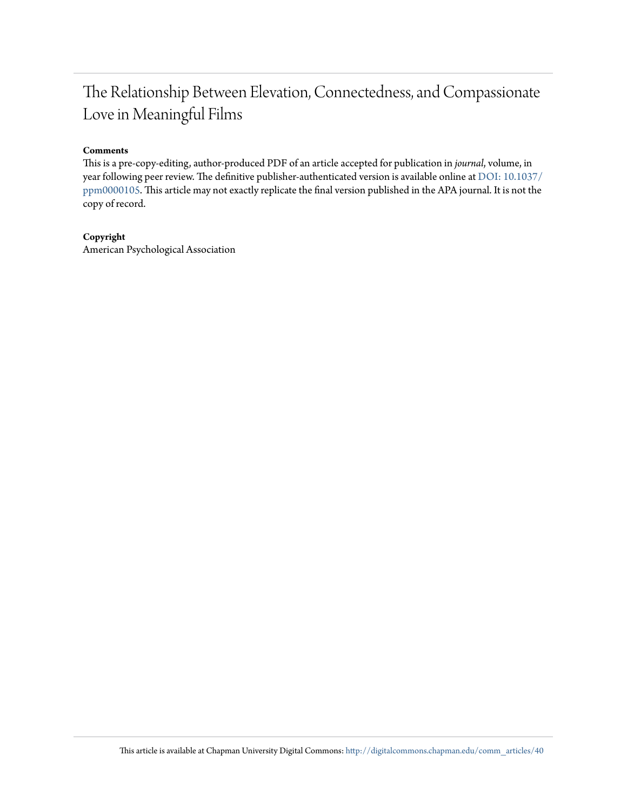## The Relationship Between Elevation, Connectedness, and Compassionate Love in Meaningful Films

#### **Comments**

This is a pre-copy-editing, author-produced PDF of an article accepted for publication in *journal*, volume, in year following peer review. The definitive publisher-authenticated version is available online at [DOI:](http://dx.doi.org/10.1037/ppm0000105) [10.1037/](http://dx.doi.org/10.1037/ppm0000105) [ppm0000105.](http://dx.doi.org/10.1037/ppm0000105) This article may not exactly replicate the final version published in the APA journal. It is not the copy of record.

#### **Copyright**

American Psychological Association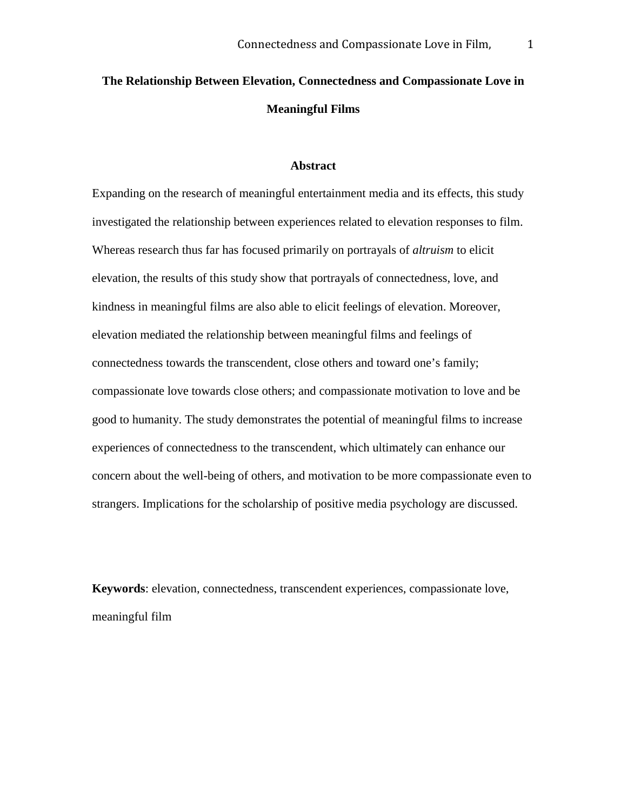## **The Relationship Between Elevation, Connectedness and Compassionate Love in Meaningful Films**

#### **Abstract**

Expanding on the research of meaningful entertainment media and its effects, this study investigated the relationship between experiences related to elevation responses to film. Whereas research thus far has focused primarily on portrayals of *altruism* to elicit elevation, the results of this study show that portrayals of connectedness, love, and kindness in meaningful films are also able to elicit feelings of elevation. Moreover, elevation mediated the relationship between meaningful films and feelings of connectedness towards the transcendent, close others and toward one's family; compassionate love towards close others; and compassionate motivation to love and be good to humanity. The study demonstrates the potential of meaningful films to increase experiences of connectedness to the transcendent, which ultimately can enhance our concern about the well-being of others, and motivation to be more compassionate even to strangers. Implications for the scholarship of positive media psychology are discussed.

**Keywords**: elevation, connectedness, transcendent experiences, compassionate love, meaningful film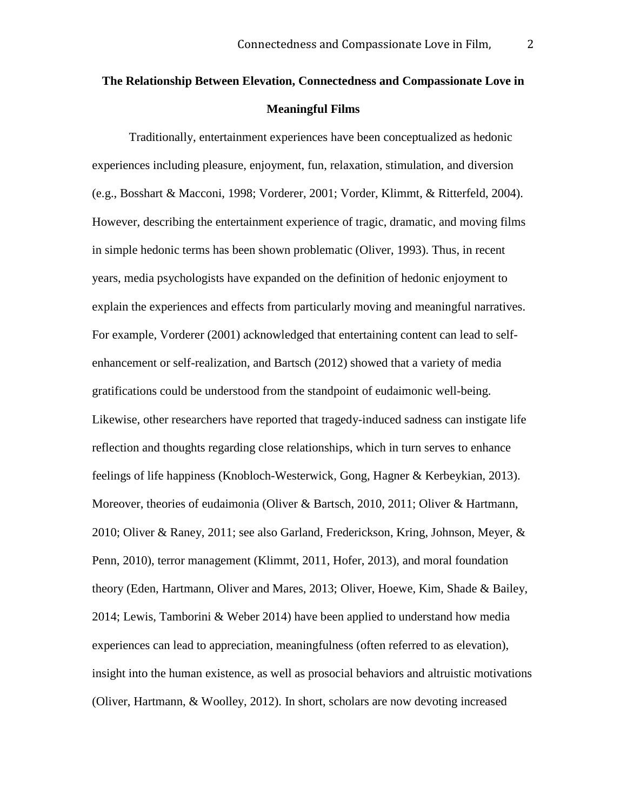## **The Relationship Between Elevation, Connectedness and Compassionate Love in Meaningful Films**

Traditionally, entertainment experiences have been conceptualized as hedonic experiences including pleasure, enjoyment, fun, relaxation, stimulation, and diversion (e.g., Bosshart & Macconi, 1998; Vorderer, 2001; Vorder, Klimmt, & Ritterfeld, 2004). However, describing the entertainment experience of tragic, dramatic, and moving films in simple hedonic terms has been shown problematic (Oliver, 1993). Thus, in recent years, media psychologists have expanded on the definition of hedonic enjoyment to explain the experiences and effects from particularly moving and meaningful narratives. For example, Vorderer (2001) acknowledged that entertaining content can lead to selfenhancement or self-realization, and Bartsch (2012) showed that a variety of media gratifications could be understood from the standpoint of eudaimonic well-being. Likewise, other researchers have reported that tragedy-induced sadness can instigate life reflection and thoughts regarding close relationships, which in turn serves to enhance feelings of life happiness (Knobloch-Westerwick, Gong, Hagner & Kerbeykian, 2013). Moreover, theories of eudaimonia (Oliver & Bartsch, 2010, 2011; Oliver & Hartmann, 2010; Oliver & Raney, 2011; see also Garland, Frederickson, Kring, Johnson, Meyer, & Penn, 2010), terror management (Klimmt, 2011, Hofer, 2013), and moral foundation theory (Eden, Hartmann, Oliver and Mares, 2013; Oliver, Hoewe, Kim, Shade & Bailey, 2014; Lewis, Tamborini & Weber 2014) have been applied to understand how media experiences can lead to appreciation, meaningfulness (often referred to as elevation), insight into the human existence, as well as prosocial behaviors and altruistic motivations (Oliver, Hartmann, & Woolley, 2012). In short, scholars are now devoting increased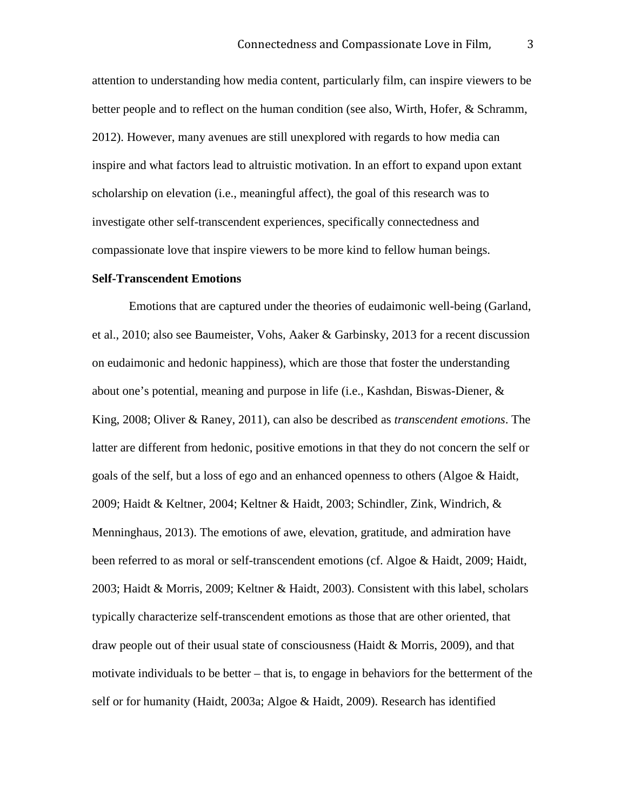attention to understanding how media content, particularly film, can inspire viewers to be better people and to reflect on the human condition (see also, Wirth, Hofer, & Schramm, 2012). However, many avenues are still unexplored with regards to how media can inspire and what factors lead to altruistic motivation. In an effort to expand upon extant scholarship on elevation (i.e., meaningful affect), the goal of this research was to investigate other self-transcendent experiences, specifically connectedness and compassionate love that inspire viewers to be more kind to fellow human beings.

#### **Self-Transcendent Emotions**

Emotions that are captured under the theories of eudaimonic well-being (Garland, et al., 2010; also see Baumeister, Vohs, Aaker & Garbinsky, 2013 for a recent discussion on eudaimonic and hedonic happiness), which are those that foster the understanding about one's potential, meaning and purpose in life (i.e., Kashdan, Biswas-Diener, & King, 2008; Oliver & Raney, 2011), can also be described as *transcendent emotions*. The latter are different from hedonic, positive emotions in that they do not concern the self or goals of the self, but a loss of ego and an enhanced openness to others (Algoe & Haidt, 2009; Haidt & Keltner, 2004; Keltner & Haidt, 2003; Schindler, Zink, Windrich, & Menninghaus, 2013). The emotions of awe, elevation, gratitude, and admiration have been referred to as moral or self-transcendent emotions (cf. Algoe & Haidt, 2009; Haidt, 2003; Haidt & Morris, 2009; Keltner & Haidt, 2003). Consistent with this label, scholars typically characterize self-transcendent emotions as those that are other oriented, that draw people out of their usual state of consciousness (Haidt & Morris, 2009), and that motivate individuals to be better – that is, to engage in behaviors for the betterment of the self or for humanity (Haidt, 2003a; Algoe & Haidt, 2009). Research has identified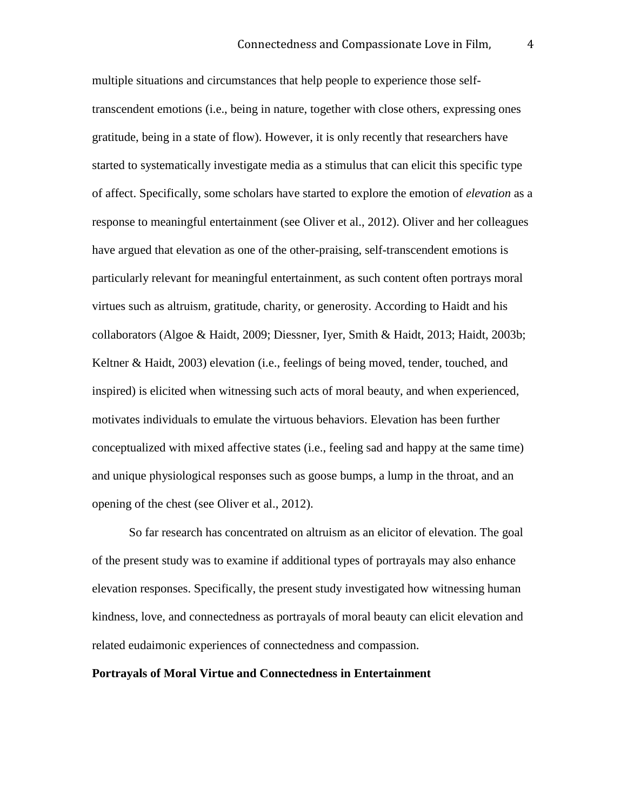multiple situations and circumstances that help people to experience those selftranscendent emotions (i.e., being in nature, together with close others, expressing ones gratitude, being in a state of flow). However, it is only recently that researchers have started to systematically investigate media as a stimulus that can elicit this specific type of affect. Specifically, some scholars have started to explore the emotion of *elevation* as a response to meaningful entertainment (see Oliver et al., 2012). Oliver and her colleagues have argued that elevation as one of the other-praising, self-transcendent emotions is particularly relevant for meaningful entertainment, as such content often portrays moral virtues such as altruism, gratitude, charity, or generosity. According to Haidt and his collaborators (Algoe & Haidt, 2009; Diessner, Iyer, Smith & Haidt, 2013; Haidt, 2003b; Keltner & Haidt, 2003) elevation (i.e., feelings of being moved, tender, touched, and inspired) is elicited when witnessing such acts of moral beauty, and when experienced, motivates individuals to emulate the virtuous behaviors. Elevation has been further conceptualized with mixed affective states (i.e., feeling sad and happy at the same time) and unique physiological responses such as goose bumps, a lump in the throat, and an opening of the chest (see Oliver et al., 2012).

So far research has concentrated on altruism as an elicitor of elevation. The goal of the present study was to examine if additional types of portrayals may also enhance elevation responses. Specifically, the present study investigated how witnessing human kindness, love, and connectedness as portrayals of moral beauty can elicit elevation and related eudaimonic experiences of connectedness and compassion.

#### **Portrayals of Moral Virtue and Connectedness in Entertainment**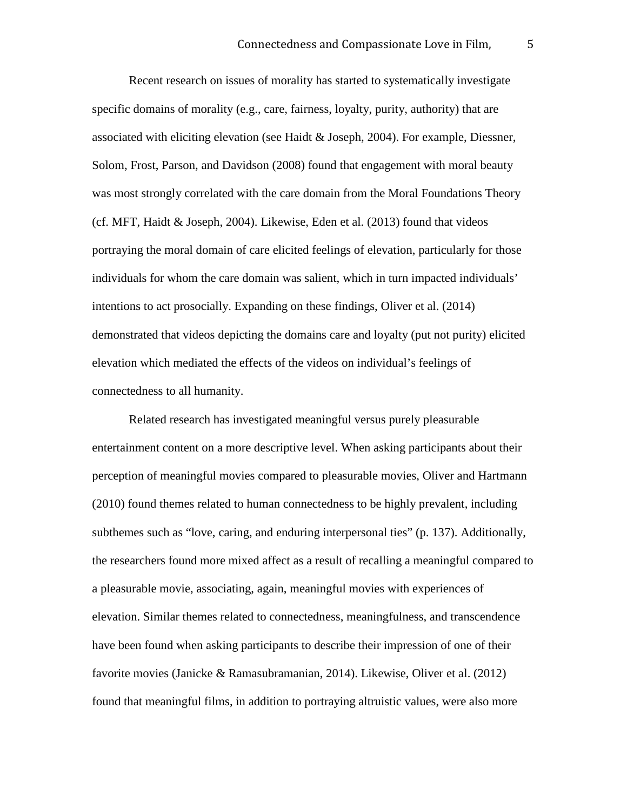Recent research on issues of morality has started to systematically investigate specific domains of morality (e.g., care, fairness, loyalty, purity, authority) that are associated with eliciting elevation (see Haidt & Joseph, 2004). For example, Diessner, Solom, Frost, Parson, and Davidson (2008) found that engagement with moral beauty was most strongly correlated with the care domain from the Moral Foundations Theory (cf. MFT, Haidt & Joseph, 2004). Likewise, Eden et al. (2013) found that videos portraying the moral domain of care elicited feelings of elevation, particularly for those individuals for whom the care domain was salient, which in turn impacted individuals' intentions to act prosocially. Expanding on these findings, Oliver et al. (2014) demonstrated that videos depicting the domains care and loyalty (put not purity) elicited elevation which mediated the effects of the videos on individual's feelings of connectedness to all humanity.

Related research has investigated meaningful versus purely pleasurable entertainment content on a more descriptive level. When asking participants about their perception of meaningful movies compared to pleasurable movies, Oliver and Hartmann (2010) found themes related to human connectedness to be highly prevalent, including subthemes such as "love, caring, and enduring interpersonal ties" (p. 137). Additionally, the researchers found more mixed affect as a result of recalling a meaningful compared to a pleasurable movie, associating, again, meaningful movies with experiences of elevation. Similar themes related to connectedness, meaningfulness, and transcendence have been found when asking participants to describe their impression of one of their favorite movies (Janicke & Ramasubramanian, 2014). Likewise, Oliver et al. (2012) found that meaningful films, in addition to portraying altruistic values, were also more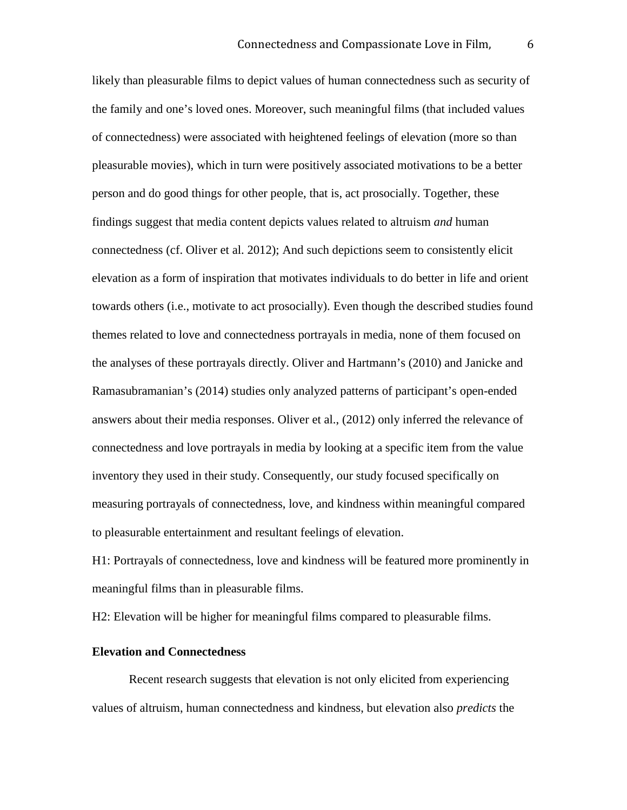likely than pleasurable films to depict values of human connectedness such as security of the family and one's loved ones. Moreover, such meaningful films (that included values of connectedness) were associated with heightened feelings of elevation (more so than pleasurable movies), which in turn were positively associated motivations to be a better person and do good things for other people, that is, act prosocially. Together, these findings suggest that media content depicts values related to altruism *and* human connectedness (cf. Oliver et al. 2012); And such depictions seem to consistently elicit elevation as a form of inspiration that motivates individuals to do better in life and orient towards others (i.e., motivate to act prosocially). Even though the described studies found themes related to love and connectedness portrayals in media, none of them focused on the analyses of these portrayals directly. Oliver and Hartmann's (2010) and Janicke and Ramasubramanian's (2014) studies only analyzed patterns of participant's open-ended answers about their media responses. Oliver et al., (2012) only inferred the relevance of connectedness and love portrayals in media by looking at a specific item from the value inventory they used in their study. Consequently, our study focused specifically on measuring portrayals of connectedness, love, and kindness within meaningful compared to pleasurable entertainment and resultant feelings of elevation.

H1: Portrayals of connectedness, love and kindness will be featured more prominently in meaningful films than in pleasurable films.

H2: Elevation will be higher for meaningful films compared to pleasurable films.

#### **Elevation and Connectedness**

Recent research suggests that elevation is not only elicited from experiencing values of altruism, human connectedness and kindness, but elevation also *predicts* the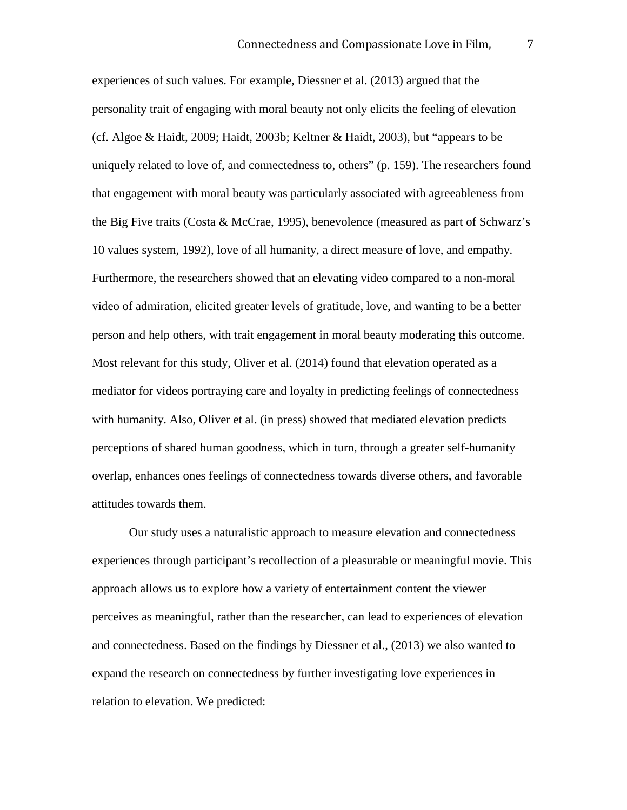experiences of such values. For example, Diessner et al. (2013) argued that the personality trait of engaging with moral beauty not only elicits the feeling of elevation (cf. Algoe & Haidt, 2009; Haidt, 2003b; Keltner & Haidt, 2003), but "appears to be uniquely related to love of, and connectedness to, others" (p. 159). The researchers found that engagement with moral beauty was particularly associated with agreeableness from the Big Five traits (Costa & McCrae, 1995), benevolence (measured as part of Schwarz's 10 values system, 1992), love of all humanity, a direct measure of love, and empathy. Furthermore, the researchers showed that an elevating video compared to a non-moral video of admiration, elicited greater levels of gratitude, love, and wanting to be a better person and help others, with trait engagement in moral beauty moderating this outcome. Most relevant for this study, Oliver et al. (2014) found that elevation operated as a mediator for videos portraying care and loyalty in predicting feelings of connectedness with humanity. Also, Oliver et al. (in press) showed that mediated elevation predicts perceptions of shared human goodness, which in turn, through a greater self-humanity overlap, enhances ones feelings of connectedness towards diverse others, and favorable attitudes towards them.

Our study uses a naturalistic approach to measure elevation and connectedness experiences through participant's recollection of a pleasurable or meaningful movie. This approach allows us to explore how a variety of entertainment content the viewer perceives as meaningful, rather than the researcher, can lead to experiences of elevation and connectedness. Based on the findings by Diessner et al., (2013) we also wanted to expand the research on connectedness by further investigating love experiences in relation to elevation. We predicted: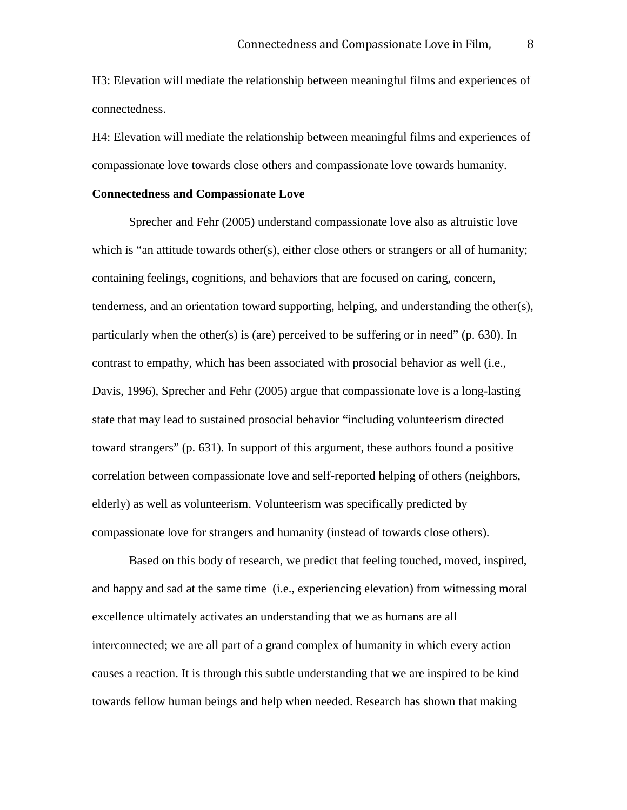H3: Elevation will mediate the relationship between meaningful films and experiences of connectedness.

H4: Elevation will mediate the relationship between meaningful films and experiences of compassionate love towards close others and compassionate love towards humanity.

#### **Connectedness and Compassionate Love**

Sprecher and Fehr (2005) understand compassionate love also as altruistic love which is "an attitude towards other(s), either close others or strangers or all of humanity; containing feelings, cognitions, and behaviors that are focused on caring, concern, tenderness, and an orientation toward supporting, helping, and understanding the other(s), particularly when the other(s) is (are) perceived to be suffering or in need" (p. 630). In contrast to empathy, which has been associated with prosocial behavior as well (i.e., Davis, 1996), Sprecher and Fehr (2005) argue that compassionate love is a long-lasting state that may lead to sustained prosocial behavior "including volunteerism directed toward strangers" (p. 631). In support of this argument, these authors found a positive correlation between compassionate love and self-reported helping of others (neighbors, elderly) as well as volunteerism. Volunteerism was specifically predicted by compassionate love for strangers and humanity (instead of towards close others).

Based on this body of research, we predict that feeling touched, moved, inspired, and happy and sad at the same time (i.e., experiencing elevation) from witnessing moral excellence ultimately activates an understanding that we as humans are all interconnected; we are all part of a grand complex of humanity in which every action causes a reaction. It is through this subtle understanding that we are inspired to be kind towards fellow human beings and help when needed. Research has shown that making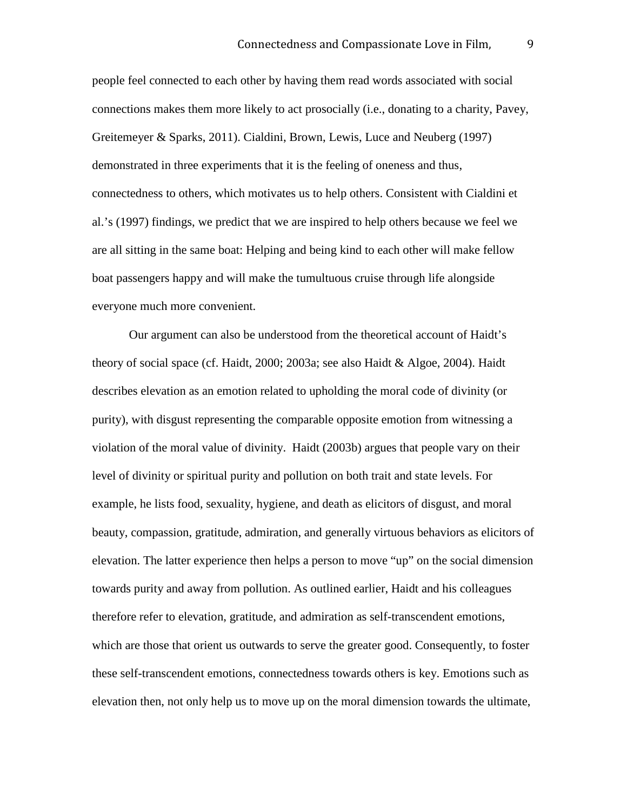people feel connected to each other by having them read words associated with social connections makes them more likely to act prosocially (i.e., donating to a charity, Pavey, Greitemeyer & Sparks, 2011). Cialdini, Brown, Lewis, Luce and Neuberg (1997) demonstrated in three experiments that it is the feeling of oneness and thus, connectedness to others, which motivates us to help others. Consistent with Cialdini et al.'s (1997) findings, we predict that we are inspired to help others because we feel we are all sitting in the same boat: Helping and being kind to each other will make fellow boat passengers happy and will make the tumultuous cruise through life alongside everyone much more convenient.

Our argument can also be understood from the theoretical account of Haidt's theory of social space (cf. Haidt, 2000; 2003a; see also Haidt & Algoe, 2004). Haidt describes elevation as an emotion related to upholding the moral code of divinity (or purity), with disgust representing the comparable opposite emotion from witnessing a violation of the moral value of divinity. Haidt (2003b) argues that people vary on their level of divinity or spiritual purity and pollution on both trait and state levels. For example, he lists food, sexuality, hygiene, and death as elicitors of disgust, and moral beauty, compassion, gratitude, admiration, and generally virtuous behaviors as elicitors of elevation. The latter experience then helps a person to move "up" on the social dimension towards purity and away from pollution. As outlined earlier, Haidt and his colleagues therefore refer to elevation, gratitude, and admiration as self-transcendent emotions, which are those that orient us outwards to serve the greater good. Consequently, to foster these self-transcendent emotions, connectedness towards others is key. Emotions such as elevation then, not only help us to move up on the moral dimension towards the ultimate,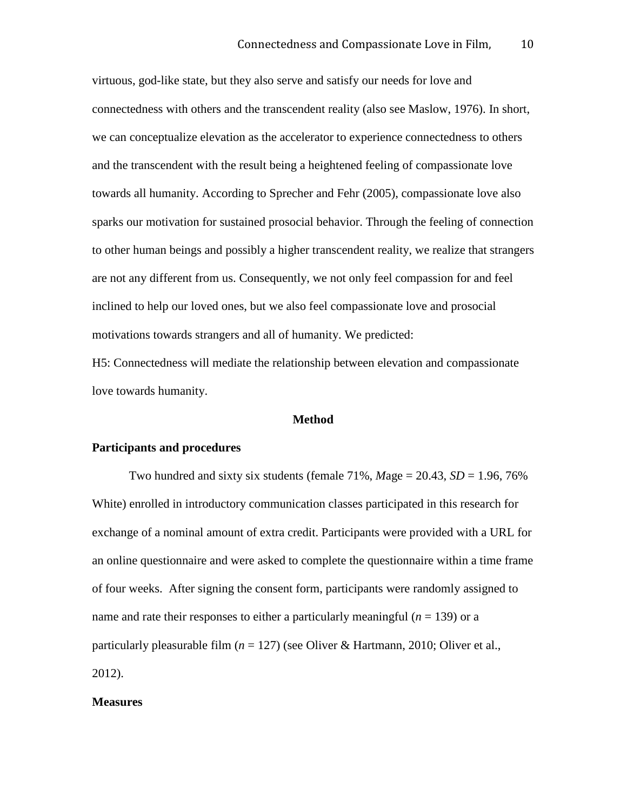virtuous, god-like state, but they also serve and satisfy our needs for love and connectedness with others and the transcendent reality (also see Maslow, 1976). In short, we can conceptualize elevation as the accelerator to experience connectedness to others and the transcendent with the result being a heightened feeling of compassionate love towards all humanity. According to Sprecher and Fehr (2005), compassionate love also sparks our motivation for sustained prosocial behavior. Through the feeling of connection to other human beings and possibly a higher transcendent reality, we realize that strangers are not any different from us. Consequently, we not only feel compassion for and feel inclined to help our loved ones, but we also feel compassionate love and prosocial motivations towards strangers and all of humanity. We predicted:

H5: Connectedness will mediate the relationship between elevation and compassionate love towards humanity.

#### **Method**

#### **Participants and procedures**

Two hundred and sixty six students (female  $71\%$ , *Mage* =  $20.43$ , *SD* = 1.96, 76% White) enrolled in introductory communication classes participated in this research for exchange of a nominal amount of extra credit. Participants were provided with a URL for an online questionnaire and were asked to complete the questionnaire within a time frame of four weeks. After signing the consent form, participants were randomly assigned to name and rate their responses to either a particularly meaningful (*n* = 139) or a particularly pleasurable film (*n* = 127) (see Oliver & Hartmann, 2010; Oliver et al., 2012).

#### **Measures**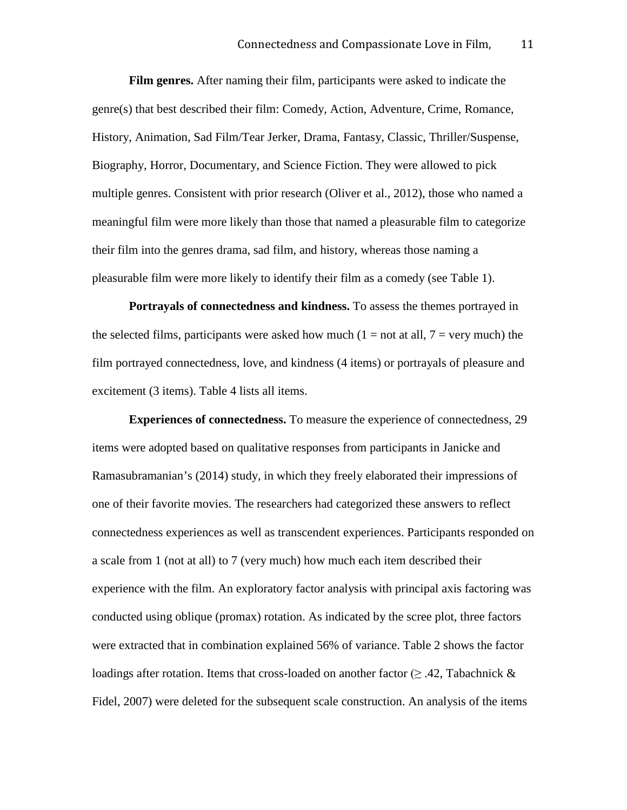**Film genres.** After naming their film, participants were asked to indicate the genre(s) that best described their film: Comedy, Action, Adventure, Crime, Romance, History, Animation, Sad Film/Tear Jerker, Drama, Fantasy, Classic, Thriller/Suspense, Biography, Horror, Documentary, and Science Fiction. They were allowed to pick multiple genres. Consistent with prior research (Oliver et al., 2012), those who named a meaningful film were more likely than those that named a pleasurable film to categorize their film into the genres drama, sad film, and history, whereas those naming a pleasurable film were more likely to identify their film as a comedy (see Table 1).

**Portrayals of connectedness and kindness.** To assess the themes portrayed in the selected films, participants were asked how much  $(1 = not at all, 7 = very much)$  the film portrayed connectedness, love, and kindness (4 items) or portrayals of pleasure and excitement (3 items). Table 4 lists all items.

**Experiences of connectedness.** To measure the experience of connectedness, 29 items were adopted based on qualitative responses from participants in Janicke and Ramasubramanian's (2014) study, in which they freely elaborated their impressions of one of their favorite movies. The researchers had categorized these answers to reflect connectedness experiences as well as transcendent experiences. Participants responded on a scale from 1 (not at all) to 7 (very much) how much each item described their experience with the film. An exploratory factor analysis with principal axis factoring was conducted using oblique (promax) rotation. As indicated by the scree plot, three factors were extracted that in combination explained 56% of variance. Table 2 shows the factor loadings after rotation. Items that cross-loaded on another factor ( $\geq$  .42, Tabachnick  $\&$ Fidel, 2007) were deleted for the subsequent scale construction. An analysis of the items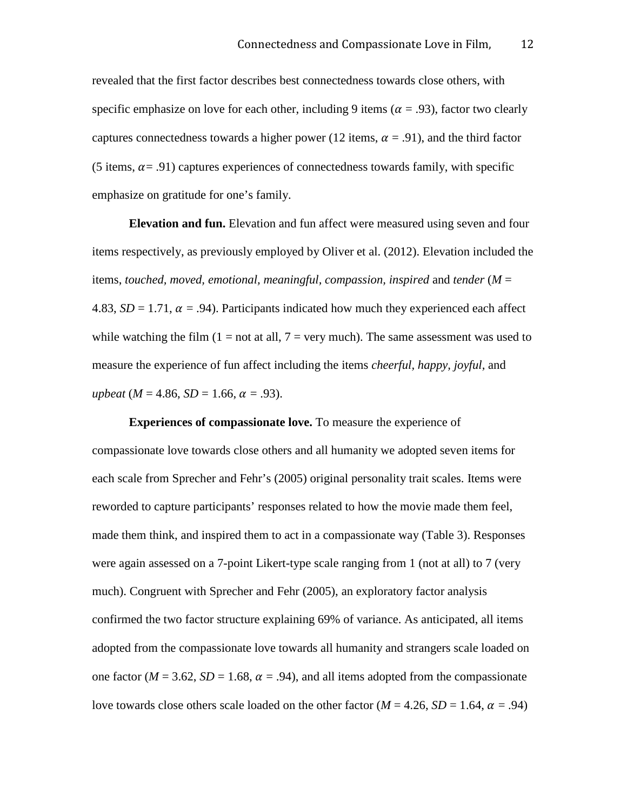revealed that the first factor describes best connectedness towards close others, with specific emphasize on love for each other, including 9 items ( $\alpha$  = .93), factor two clearly captures connectedness towards a higher power (12 items,  $\alpha = .91$ ), and the third factor (5 items,  $\alpha$  = .91) captures experiences of connectedness towards family, with specific emphasize on gratitude for one's family.

**Elevation and fun.** Elevation and fun affect were measured using seven and four items respectively, as previously employed by Oliver et al. (2012). Elevation included the items, *touched, moved, emotional, meaningful, compassion, inspired* and *tender* (*M* = 4.83,  $SD = 1.71$ ,  $\alpha = .94$ ). Participants indicated how much they experienced each affect while watching the film  $(1 = not at all, 7 = very much)$ . The same assessment was used to measure the experience of fun affect including the items *cheerful, happy, joyful,* and *upbeat* (*M* = 4.86, *SD* = 1.66,  $\alpha$  = .93).

**Experiences of compassionate love.** To measure the experience of compassionate love towards close others and all humanity we adopted seven items for each scale from Sprecher and Fehr's (2005) original personality trait scales. Items were reworded to capture participants' responses related to how the movie made them feel, made them think, and inspired them to act in a compassionate way (Table 3). Responses were again assessed on a 7-point Likert-type scale ranging from 1 (not at all) to 7 (very much). Congruent with Sprecher and Fehr (2005), an exploratory factor analysis confirmed the two factor structure explaining 69% of variance. As anticipated, all items adopted from the compassionate love towards all humanity and strangers scale loaded on one factor ( $M = 3.62$ ,  $SD = 1.68$ ,  $\alpha = .94$ ), and all items adopted from the compassionate love towards close others scale loaded on the other factor ( $M = 4.26$ ,  $SD = 1.64$ ,  $\alpha = .94$ )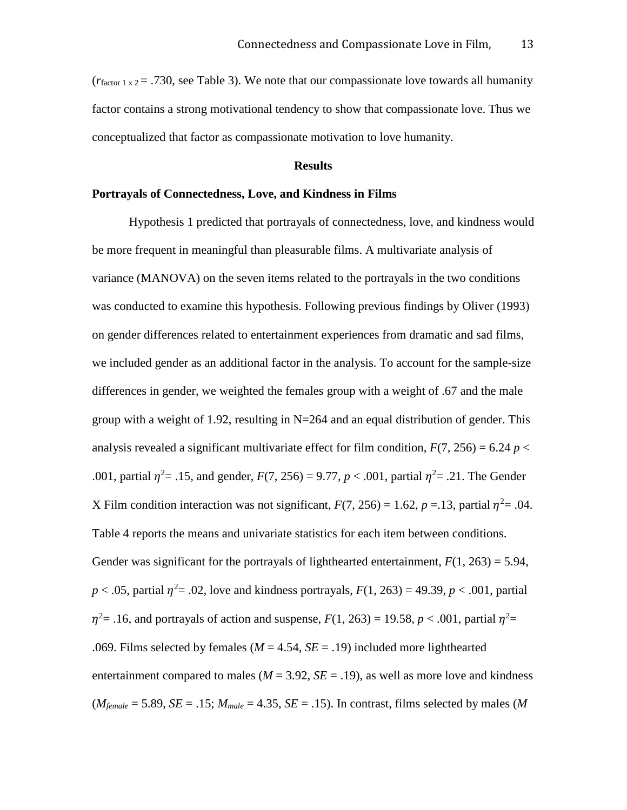$(r_{\text{factor 1 x 2}} = .730$ , see Table 3). We note that our compassionate love towards all humanity factor contains a strong motivational tendency to show that compassionate love. Thus we conceptualized that factor as compassionate motivation to love humanity.

#### **Results**

#### **Portrayals of Connectedness, Love, and Kindness in Films**

Hypothesis 1 predicted that portrayals of connectedness, love, and kindness would be more frequent in meaningful than pleasurable films. A multivariate analysis of variance (MANOVA) on the seven items related to the portrayals in the two conditions was conducted to examine this hypothesis. Following previous findings by Oliver (1993) on gender differences related to entertainment experiences from dramatic and sad films, we included gender as an additional factor in the analysis. To account for the sample-size differences in gender, we weighted the females group with a weight of .67 and the male group with a weight of 1.92, resulting in  $N=264$  and an equal distribution of gender. This analysis revealed a significant multivariate effect for film condition,  $F(7, 256) = 6.24 p <$ .001, partial  $\eta^2 = .15$ , and gender,  $F(7, 256) = 9.77$ ,  $p < .001$ , partial  $\eta^2 = .21$ . The Gender X Film condition interaction was not significant,  $F(7, 256) = 1.62$ ,  $p = .13$ , partial  $\eta^2 = .04$ . Table 4 reports the means and univariate statistics for each item between conditions. Gender was significant for the portrayals of lighthearted entertainment,  $F(1, 263) = 5.94$ ,  $p < .05$ , partial  $\eta^2 = .02$ , love and kindness portrayals,  $F(1, 263) = 49.39$ ,  $p < .001$ , partial  $\eta^2$  = .16, and portrayals of action and suspense,  $F(1, 263) = 19.58$ ,  $p < .001$ , partial  $\eta^2$  = .069. Films selected by females ( $M = 4.54$ ,  $SE = .19$ ) included more lighthearted entertainment compared to males  $(M = 3.92, SE = .19)$ , as well as more love and kindness  $(M_{female} = 5.89, SE = .15; M_{male} = 4.35, SE = .15)$ . In contrast, films selected by males (*M*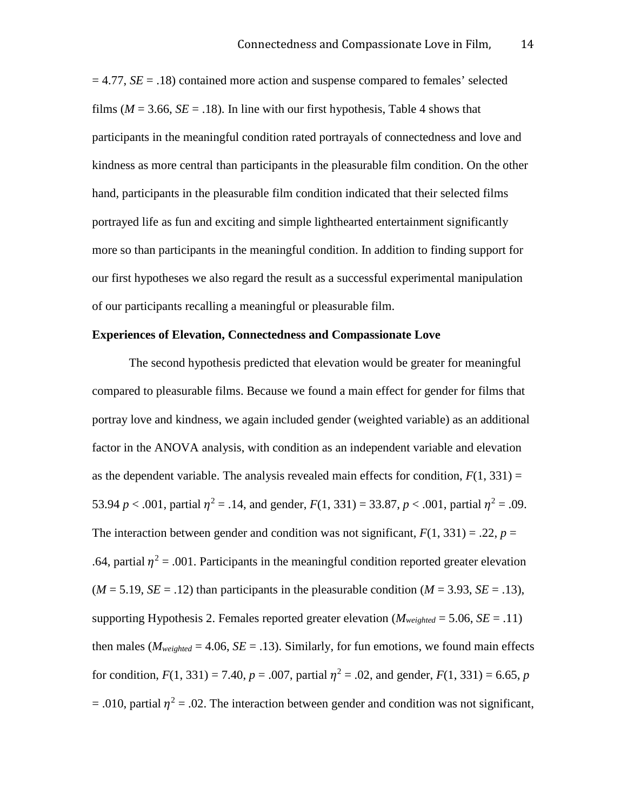$= 4.77$ ,  $SE = .18$ ) contained more action and suspense compared to females' selected films ( $M = 3.66$ ,  $SE = .18$ ). In line with our first hypothesis, Table 4 shows that participants in the meaningful condition rated portrayals of connectedness and love and kindness as more central than participants in the pleasurable film condition. On the other hand, participants in the pleasurable film condition indicated that their selected films portrayed life as fun and exciting and simple lighthearted entertainment significantly more so than participants in the meaningful condition. In addition to finding support for our first hypotheses we also regard the result as a successful experimental manipulation of our participants recalling a meaningful or pleasurable film.

#### **Experiences of Elevation, Connectedness and Compassionate Love**

The second hypothesis predicted that elevation would be greater for meaningful compared to pleasurable films. Because we found a main effect for gender for films that portray love and kindness, we again included gender (weighted variable) as an additional factor in the ANOVA analysis, with condition as an independent variable and elevation as the dependent variable. The analysis revealed main effects for condition,  $F(1, 331) =$ 53.94 *p* < .001, partial  $\eta^2 = .14$ , and gender,  $F(1, 331) = 33.87$ , *p* < .001, partial  $\eta^2 = .09$ . The interaction between gender and condition was not significant,  $F(1, 331) = .22$ ,  $p =$ .64, partial  $\eta^2$  = .001. Participants in the meaningful condition reported greater elevation  $(M = 5.19, SE = .12)$  than participants in the pleasurable condition  $(M = 3.93, SE = .13)$ , supporting Hypothesis 2. Females reported greater elevation  $(M_{weighted} = 5.06, SE = .11)$ then males ( $M_{weighted} = 4.06$ ,  $SE = .13$ ). Similarly, for fun emotions, we found main effects for condition,  $F(1, 331) = 7.40$ ,  $p = .007$ , partial  $\eta^2 = .02$ , and gender,  $F(1, 331) = 6.65$ , *p* = .010, partial  $\eta^2$  = .02. The interaction between gender and condition was not significant,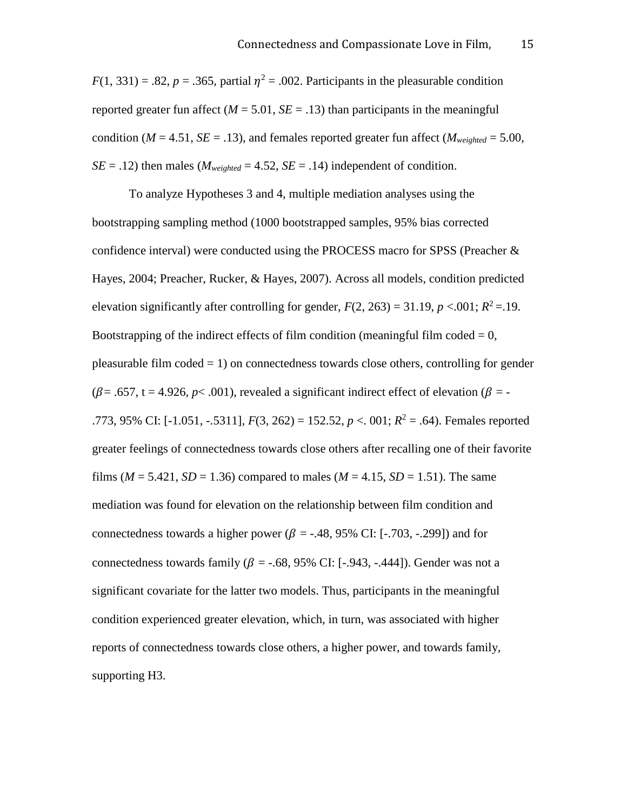$F(1, 331) = .82$ ,  $p = .365$ , partial  $\eta^2 = .002$ . Participants in the pleasurable condition reported greater fun affect  $(M = 5.01, SE = .13)$  than participants in the meaningful condition ( $M = 4.51$ ,  $SE = .13$ ), and females reported greater fun affect ( $M_{weighted} = 5.00$ ,  $SE = .12$ ) then males (*M<sub>weighted</sub>* = 4.52, *SE* = .14) independent of condition.

To analyze Hypotheses 3 and 4, multiple mediation analyses using the bootstrapping sampling method (1000 bootstrapped samples, 95% bias corrected confidence interval) were conducted using the PROCESS macro for SPSS (Preacher  $\&$ Hayes, 2004; Preacher, Rucker, & Hayes, 2007). Across all models, condition predicted elevation significantly after controlling for gender,  $F(2, 263) = 31.19$ ,  $p < .001$ ;  $R^2 = .19$ . Bootstrapping of the indirect effects of film condition (meaningful film coded  $= 0$ , pleasurable film  $\text{code} = 1$ ) on connectedness towards close others, controlling for gender  $(\beta = .657, t = 4.926, p < .001)$ , revealed a significant indirect effect of elevation  $(\beta = -1.657, t = 4.926, p < .001)$ .773, 95% CI: [-1.051, -.5311],  $F(3, 262) = 152.52$ ,  $p < 0.01$ ;  $R^2 = .64$ ). Females reported greater feelings of connectedness towards close others after recalling one of their favorite films ( $M = 5.421$ ,  $SD = 1.36$ ) compared to males ( $M = 4.15$ ,  $SD = 1.51$ ). The same mediation was found for elevation on the relationship between film condition and connectedness towards a higher power ( $\beta$  = -.48, 95% CI: [-.703, -.299]) and for connectedness towards family ( $\beta$  = -.68, 95% CI: [-.943, -.444]). Gender was not a significant covariate for the latter two models. Thus, participants in the meaningful condition experienced greater elevation, which, in turn, was associated with higher reports of connectedness towards close others, a higher power, and towards family, supporting H3.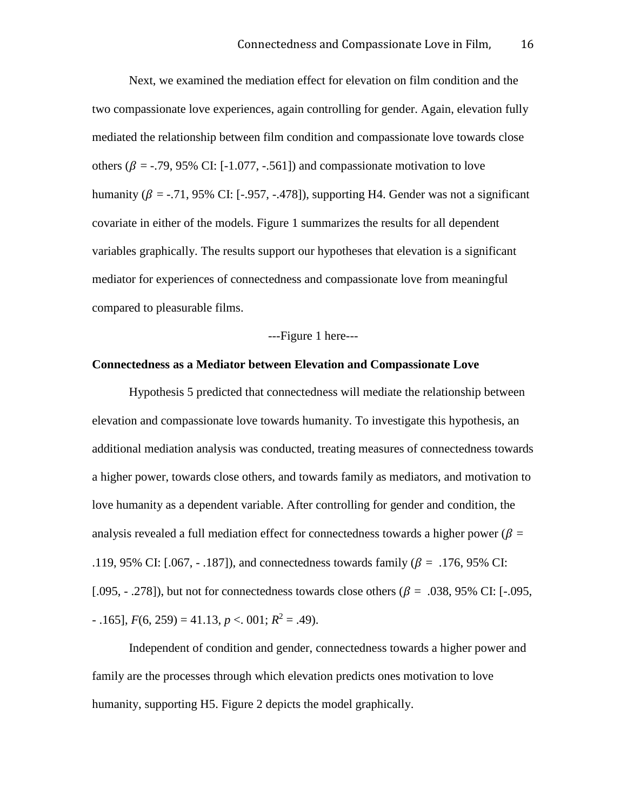Next, we examined the mediation effect for elevation on film condition and the two compassionate love experiences, again controlling for gender. Again, elevation fully mediated the relationship between film condition and compassionate love towards close others ( $\beta$  = -.79, 95% CI: [-1.077, -.561]) and compassionate motivation to love humanity ( $\beta$  = -.71, 95% CI: [-.957, -.478]), supporting H4. Gender was not a significant covariate in either of the models. Figure 1 summarizes the results for all dependent variables graphically. The results support our hypotheses that elevation is a significant mediator for experiences of connectedness and compassionate love from meaningful compared to pleasurable films.

#### ---Figure 1 here---

#### **Connectedness as a Mediator between Elevation and Compassionate Love**

Hypothesis 5 predicted that connectedness will mediate the relationship between elevation and compassionate love towards humanity. To investigate this hypothesis, an additional mediation analysis was conducted, treating measures of connectedness towards a higher power, towards close others, and towards family as mediators, and motivation to love humanity as a dependent variable. After controlling for gender and condition, the analysis revealed a full mediation effect for connectedness towards a higher power ( $\beta$  = .119, 95% CI: [.067, - .187]), and connectedness towards family ( $\beta$  = .176, 95% CI: [.095,  $-$  .278]), but not for connectedness towards close others ( $\beta = 0.038$ , 95% CI: [-.095,  $F(6, 259) = 41.13, p < .001; R^2 = .49$ .

Independent of condition and gender, connectedness towards a higher power and family are the processes through which elevation predicts ones motivation to love humanity, supporting H5. Figure 2 depicts the model graphically.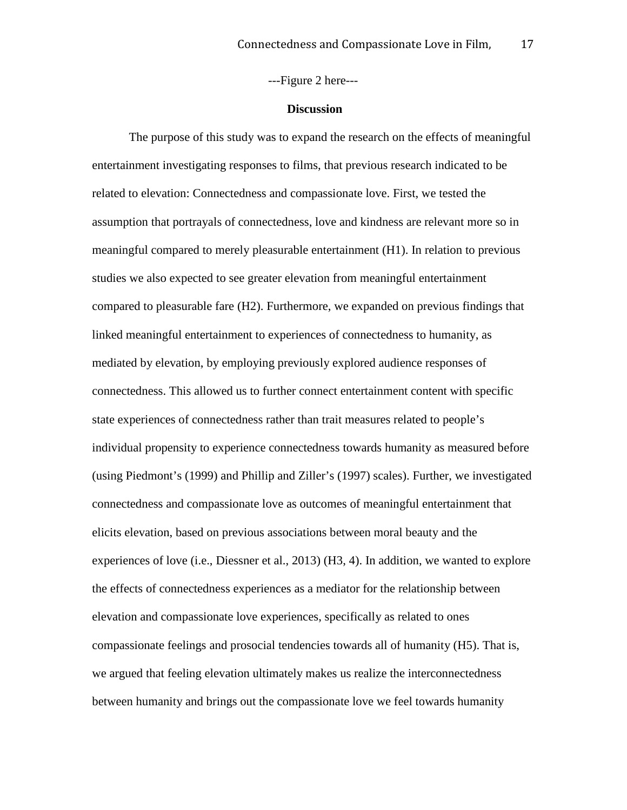---Figure 2 here---

#### **Discussion**

The purpose of this study was to expand the research on the effects of meaningful entertainment investigating responses to films, that previous research indicated to be related to elevation: Connectedness and compassionate love. First, we tested the assumption that portrayals of connectedness, love and kindness are relevant more so in meaningful compared to merely pleasurable entertainment (H1). In relation to previous studies we also expected to see greater elevation from meaningful entertainment compared to pleasurable fare (H2). Furthermore, we expanded on previous findings that linked meaningful entertainment to experiences of connectedness to humanity, as mediated by elevation, by employing previously explored audience responses of connectedness. This allowed us to further connect entertainment content with specific state experiences of connectedness rather than trait measures related to people's individual propensity to experience connectedness towards humanity as measured before (using Piedmont's (1999) and Phillip and Ziller's (1997) scales). Further, we investigated connectedness and compassionate love as outcomes of meaningful entertainment that elicits elevation, based on previous associations between moral beauty and the experiences of love (i.e., Diessner et al., 2013) (H3, 4). In addition, we wanted to explore the effects of connectedness experiences as a mediator for the relationship between elevation and compassionate love experiences, specifically as related to ones compassionate feelings and prosocial tendencies towards all of humanity (H5). That is, we argued that feeling elevation ultimately makes us realize the interconnectedness between humanity and brings out the compassionate love we feel towards humanity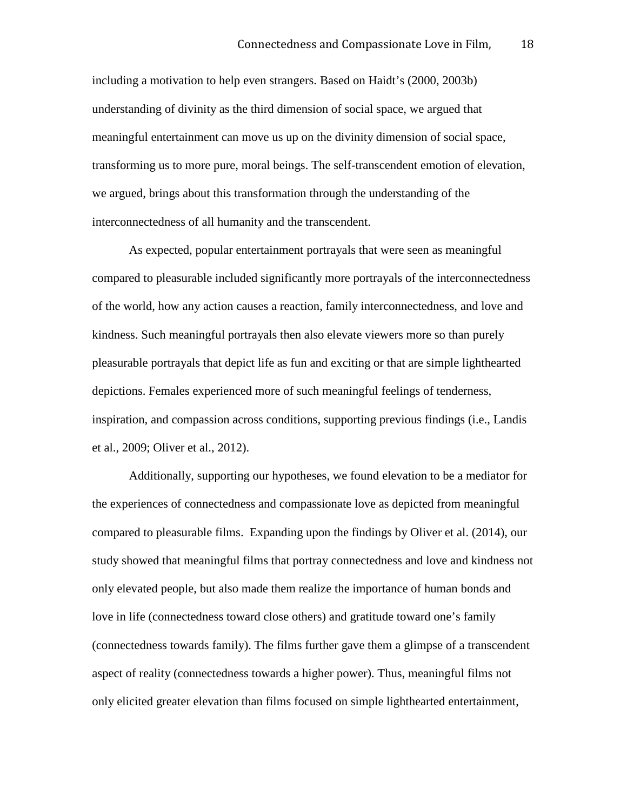including a motivation to help even strangers. Based on Haidt's (2000, 2003b) understanding of divinity as the third dimension of social space, we argued that meaningful entertainment can move us up on the divinity dimension of social space, transforming us to more pure, moral beings. The self-transcendent emotion of elevation, we argued, brings about this transformation through the understanding of the interconnectedness of all humanity and the transcendent.

As expected, popular entertainment portrayals that were seen as meaningful compared to pleasurable included significantly more portrayals of the interconnectedness of the world, how any action causes a reaction, family interconnectedness, and love and kindness. Such meaningful portrayals then also elevate viewers more so than purely pleasurable portrayals that depict life as fun and exciting or that are simple lighthearted depictions. Females experienced more of such meaningful feelings of tenderness, inspiration, and compassion across conditions, supporting previous findings (i.e., Landis et al., 2009; Oliver et al., 2012).

Additionally, supporting our hypotheses, we found elevation to be a mediator for the experiences of connectedness and compassionate love as depicted from meaningful compared to pleasurable films. Expanding upon the findings by Oliver et al. (2014), our study showed that meaningful films that portray connectedness and love and kindness not only elevated people, but also made them realize the importance of human bonds and love in life (connectedness toward close others) and gratitude toward one's family (connectedness towards family). The films further gave them a glimpse of a transcendent aspect of reality (connectedness towards a higher power). Thus, meaningful films not only elicited greater elevation than films focused on simple lighthearted entertainment,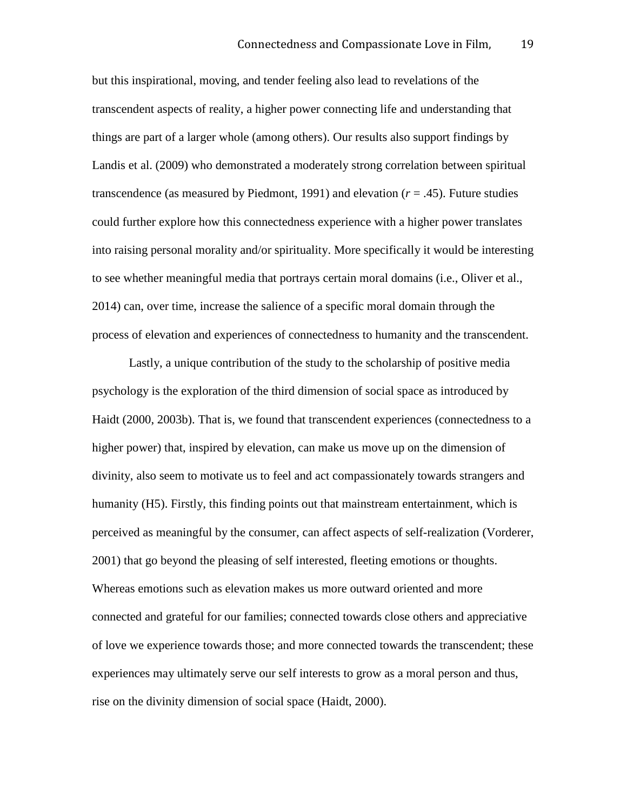but this inspirational, moving, and tender feeling also lead to revelations of the transcendent aspects of reality, a higher power connecting life and understanding that things are part of a larger whole (among others). Our results also support findings by Landis et al. (2009) who demonstrated a moderately strong correlation between spiritual transcendence (as measured by Piedmont, 1991) and elevation  $(r = .45)$ . Future studies could further explore how this connectedness experience with a higher power translates into raising personal morality and/or spirituality. More specifically it would be interesting to see whether meaningful media that portrays certain moral domains (i.e., Oliver et al., 2014) can, over time, increase the salience of a specific moral domain through the process of elevation and experiences of connectedness to humanity and the transcendent.

Lastly, a unique contribution of the study to the scholarship of positive media psychology is the exploration of the third dimension of social space as introduced by Haidt (2000, 2003b). That is, we found that transcendent experiences (connectedness to a higher power) that, inspired by elevation, can make us move up on the dimension of divinity, also seem to motivate us to feel and act compassionately towards strangers and humanity (H5). Firstly, this finding points out that mainstream entertainment, which is perceived as meaningful by the consumer, can affect aspects of self-realization (Vorderer, 2001) that go beyond the pleasing of self interested, fleeting emotions or thoughts. Whereas emotions such as elevation makes us more outward oriented and more connected and grateful for our families; connected towards close others and appreciative of love we experience towards those; and more connected towards the transcendent; these experiences may ultimately serve our self interests to grow as a moral person and thus, rise on the divinity dimension of social space (Haidt, 2000).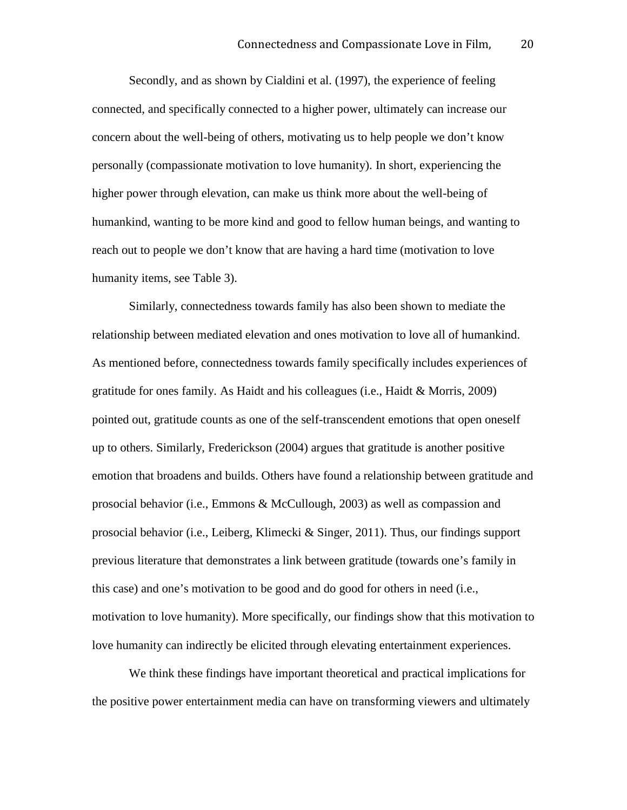Secondly, and as shown by Cialdini et al. (1997), the experience of feeling connected, and specifically connected to a higher power, ultimately can increase our concern about the well-being of others, motivating us to help people we don't know personally (compassionate motivation to love humanity). In short, experiencing the higher power through elevation, can make us think more about the well-being of humankind, wanting to be more kind and good to fellow human beings, and wanting to reach out to people we don't know that are having a hard time (motivation to love humanity items, see Table 3).

Similarly, connectedness towards family has also been shown to mediate the relationship between mediated elevation and ones motivation to love all of humankind. As mentioned before, connectedness towards family specifically includes experiences of gratitude for ones family. As Haidt and his colleagues (i.e., Haidt & Morris, 2009) pointed out, gratitude counts as one of the self-transcendent emotions that open oneself up to others. Similarly, Frederickson (2004) argues that gratitude is another positive emotion that broadens and builds. Others have found a relationship between gratitude and prosocial behavior (i.e., Emmons & McCullough, 2003) as well as compassion and prosocial behavior (i.e., Leiberg, Klimecki & Singer, 2011). Thus, our findings support previous literature that demonstrates a link between gratitude (towards one's family in this case) and one's motivation to be good and do good for others in need (i.e., motivation to love humanity). More specifically, our findings show that this motivation to love humanity can indirectly be elicited through elevating entertainment experiences.

We think these findings have important theoretical and practical implications for the positive power entertainment media can have on transforming viewers and ultimately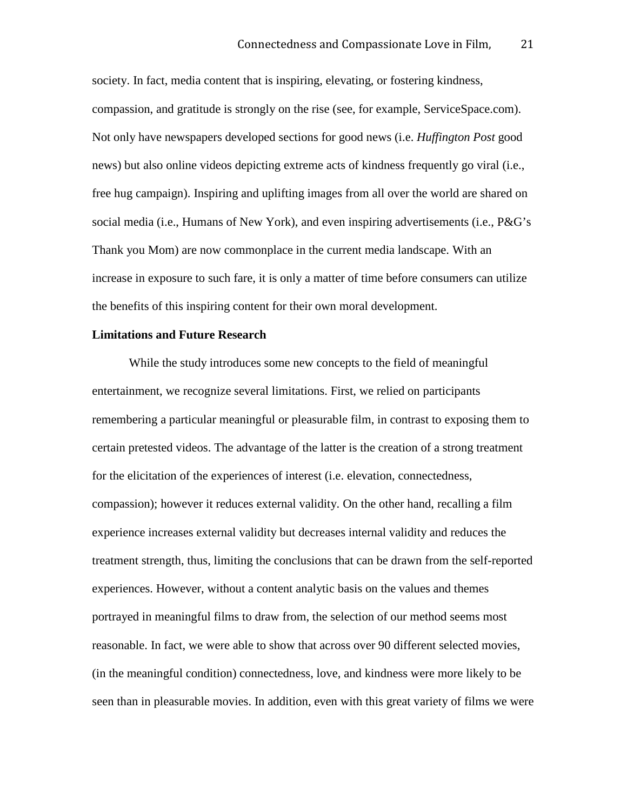society. In fact, media content that is inspiring, elevating, or fostering kindness, compassion, and gratitude is strongly on the rise (see, for example, ServiceSpace.com). Not only have newspapers developed sections for good news (i.e. *Huffington Post* good news) but also online videos depicting extreme acts of kindness frequently go viral (i.e., free hug campaign). Inspiring and uplifting images from all over the world are shared on social media (i.e., Humans of New York), and even inspiring advertisements (i.e., P&G's Thank you Mom) are now commonplace in the current media landscape. With an increase in exposure to such fare, it is only a matter of time before consumers can utilize the benefits of this inspiring content for their own moral development.

#### **Limitations and Future Research**

While the study introduces some new concepts to the field of meaningful entertainment, we recognize several limitations. First, we relied on participants remembering a particular meaningful or pleasurable film, in contrast to exposing them to certain pretested videos. The advantage of the latter is the creation of a strong treatment for the elicitation of the experiences of interest (i.e. elevation, connectedness, compassion); however it reduces external validity. On the other hand, recalling a film experience increases external validity but decreases internal validity and reduces the treatment strength, thus, limiting the conclusions that can be drawn from the self-reported experiences. However, without a content analytic basis on the values and themes portrayed in meaningful films to draw from, the selection of our method seems most reasonable. In fact, we were able to show that across over 90 different selected movies, (in the meaningful condition) connectedness, love, and kindness were more likely to be seen than in pleasurable movies. In addition, even with this great variety of films we were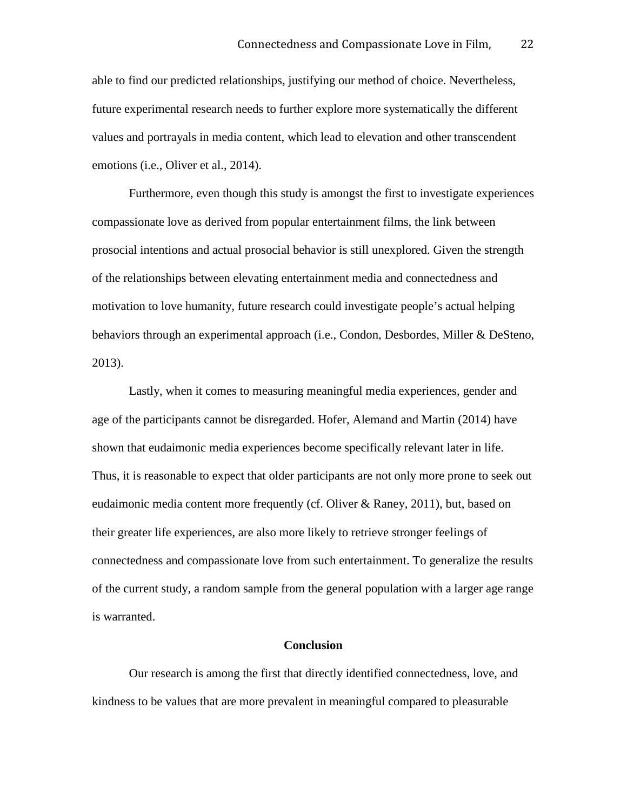able to find our predicted relationships, justifying our method of choice. Nevertheless, future experimental research needs to further explore more systematically the different values and portrayals in media content, which lead to elevation and other transcendent emotions (i.e., Oliver et al., 2014).

Furthermore, even though this study is amongst the first to investigate experiences compassionate love as derived from popular entertainment films, the link between prosocial intentions and actual prosocial behavior is still unexplored. Given the strength of the relationships between elevating entertainment media and connectedness and motivation to love humanity, future research could investigate people's actual helping behaviors through an experimental approach (i.e., Condon, Desbordes, Miller & DeSteno, 2013).

Lastly, when it comes to measuring meaningful media experiences, gender and age of the participants cannot be disregarded. Hofer, Alemand and Martin (2014) have shown that eudaimonic media experiences become specifically relevant later in life. Thus, it is reasonable to expect that older participants are not only more prone to seek out eudaimonic media content more frequently (cf. Oliver & Raney, 2011), but, based on their greater life experiences, are also more likely to retrieve stronger feelings of connectedness and compassionate love from such entertainment. To generalize the results of the current study, a random sample from the general population with a larger age range is warranted.

#### **Conclusion**

Our research is among the first that directly identified connectedness, love, and kindness to be values that are more prevalent in meaningful compared to pleasurable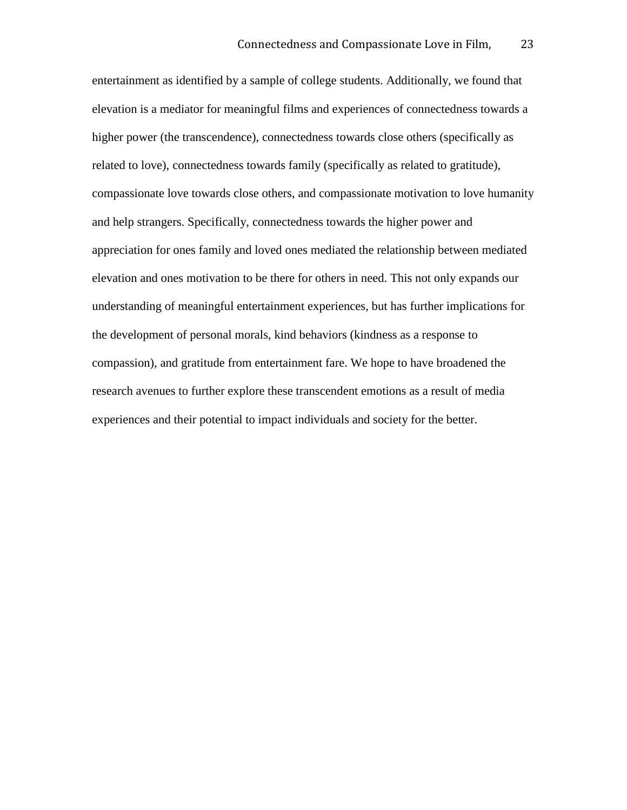entertainment as identified by a sample of college students. Additionally, we found that elevation is a mediator for meaningful films and experiences of connectedness towards a higher power (the transcendence), connectedness towards close others (specifically as related to love), connectedness towards family (specifically as related to gratitude), compassionate love towards close others, and compassionate motivation to love humanity and help strangers. Specifically, connectedness towards the higher power and appreciation for ones family and loved ones mediated the relationship between mediated elevation and ones motivation to be there for others in need. This not only expands our understanding of meaningful entertainment experiences, but has further implications for the development of personal morals, kind behaviors (kindness as a response to compassion), and gratitude from entertainment fare. We hope to have broadened the research avenues to further explore these transcendent emotions as a result of media experiences and their potential to impact individuals and society for the better.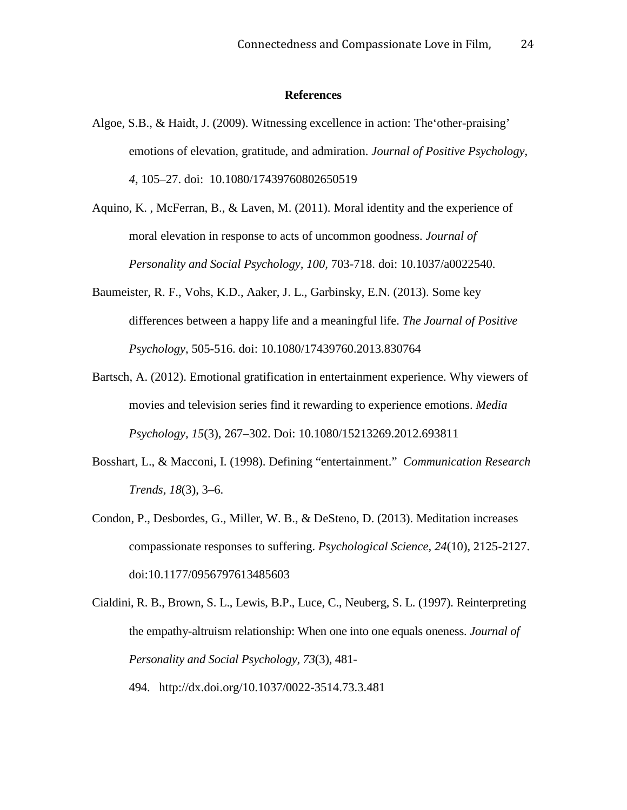#### **References**

- Algoe, S.B., & Haidt, J. (2009). Witnessing excellence in action: The'other-praising' emotions of elevation, gratitude, and admiration. *Journal of Positive Psychology*, *4*, 105–27. doi: 10.1080/17439760802650519
- Aquino, K. , McFerran, B., & Laven, M. (2011). Moral identity and the experience of moral elevation in response to acts of uncommon goodness. *Journal of Personality and Social Psychology, 100,* 703-718. doi: 10.1037/a0022540.
- Baumeister, R. F., Vohs, K.D., Aaker, J. L., Garbinsky, E.N. (2013). Some key differences between a happy life and a meaningful life. *The Journal of Positive Psychology*, 505-516. doi: 10.1080/17439760.2013.830764
- Bartsch, A. (2012). Emotional gratification in entertainment experience. Why viewers of movies and television series find it rewarding to experience emotions. *Media Psychology, 15*(3), 267–302. Doi: 10.1080/15213269.2012.693811
- Bosshart, L., & Macconi, I. (1998). Defining "entertainment." *Communication Research Trends, 18*(3), 3–6.
- Condon, P., Desbordes, G., Miller, W. B., & DeSteno, D. (2013). Meditation increases compassionate responses to suffering. *Psychological Science, 24*(10), 2125-2127. doi:10.1177/0956797613485603
- Cialdini, R. B., Brown, S. L., Lewis, B.P., Luce, C., Neuberg, S. L. (1997). Reinterpreting the empathy-altruism relationship: When one into one equals oneness. *Journal of Personality and Social Psychology, 73*(3), 481- 494. http://dx.doi.org/10.1037/0022-3514.73.3.481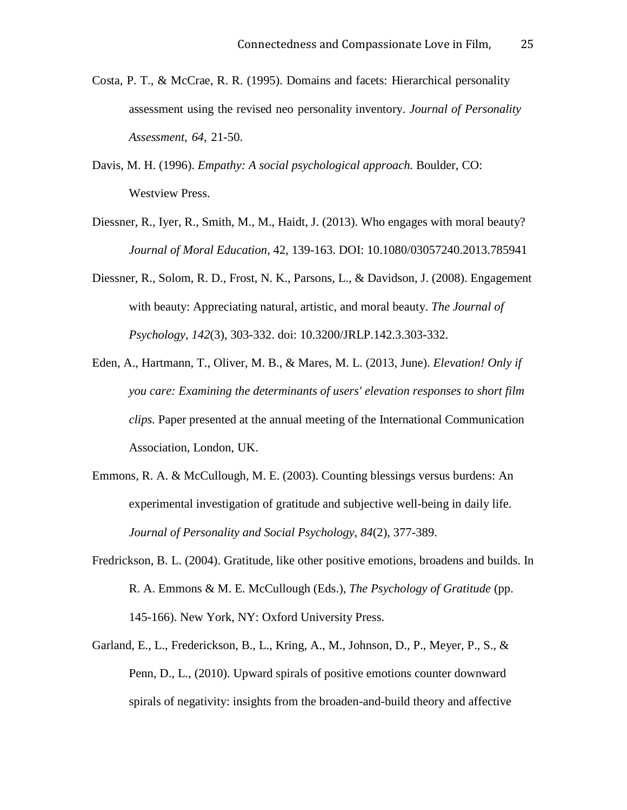- Costa, P. T., & McCrae, R. R. (1995). Domains and facets: Hierarchical personality assessment using the revised neo personality inventory. *Journal of Personality Assessment, 64*, 21-50.
- Davis, M. H. (1996). *Empathy: A social psychological approach.* Boulder, CO: Westview Press.
- Diessner, R., Iyer, R., Smith, M., M., Haidt, J. (2013). Who engages with moral beauty? *Journal of Moral Education*, 42, 139-163. DOI: 10.1080/03057240.2013.785941
- Diessner, R., Solom, R. D., Frost, N. K., Parsons, L., & Davidson, J. (2008). Engagement with beauty: Appreciating natural, artistic, and moral beauty. *The Journal of Psychology, 142*(3), 303-332. doi: 10.3200/JRLP.142.3.303-332.
- Eden, A., Hartmann, T., Oliver, M. B., & Mares, M. L. (2013, June). *Elevation! Only if you care: Examining the determinants of users' elevation responses to short film clips.* Paper presented at the annual meeting of the International Communication Association, London, UK.
- Emmons, R. A. & McCullough, M. E. (2003). Counting blessings versus burdens: An experimental investigation of gratitude and subjective well-being in daily life. *Journal of Personality and Social Psychology, 84*(2), 377-389.
- Fredrickson, B. L. (2004). Gratitude, like other positive emotions, broadens and builds. In R. A. Emmons & M. E. McCullough (Eds.), *The Psychology of Gratitude* (pp. 145-166). New York, NY: Oxford University Press.
- Garland, E., L., Frederickson, B., L., Kring, A., M., Johnson, D., P., Meyer, P., S., & Penn, D., L., (2010). Upward spirals of positive emotions counter downward spirals of negativity: insights from the broaden-and-build theory and affective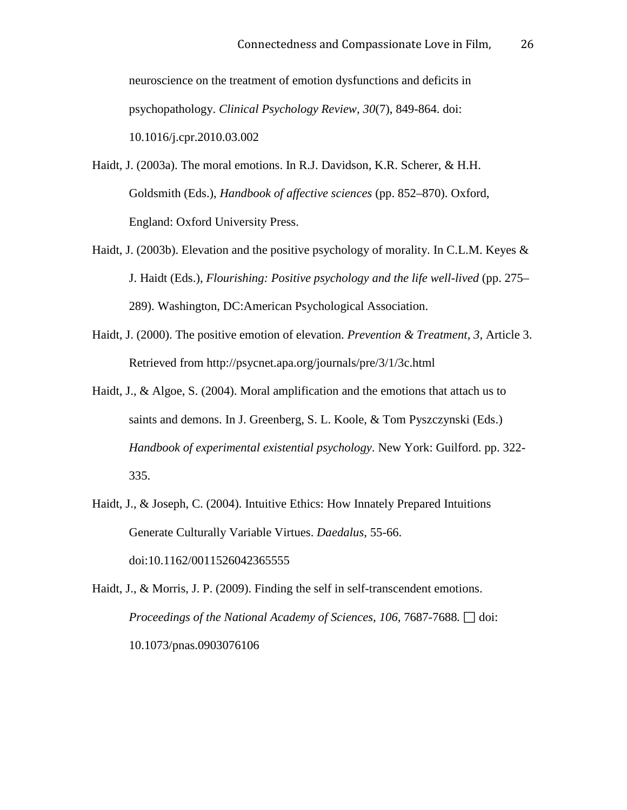neuroscience on the treatment of emotion dysfunctions and deficits in psychopathology. *Clinical Psychology Review, 30*(7), 849-864. doi: 10.1016/j.cpr.2010.03.002

- Haidt, J. (2003a). The moral emotions. In R.J. Davidson, K.R. Scherer, & H.H. Goldsmith (Eds.), *Handbook of affective sciences* (pp. 852–870). Oxford, England: Oxford University Press.
- Haidt, J. (2003b). Elevation and the positive psychology of morality. In C.L.M. Keyes & J. Haidt (Eds.), *Flourishing: Positive psychology and the life well-lived* (pp. 275– 289). Washington, DC:American Psychological Association.
- Haidt, J. (2000). The positive emotion of elevation. *Prevention & Treatment, 3,* Article 3. Retrieved from http://psycnet.apa.org/journals/pre/3/1/3c.html
- Haidt, J., & Algoe, S. (2004). Moral amplification and the emotions that attach us to saints and demons. In J. Greenberg, S. L. Koole, & Tom Pyszczynski (Eds.) *Handbook of experimental existential psychology*. New York: Guilford. pp. 322- 335.
- Haidt, J., & Joseph, C. (2004). Intuitive Ethics: How Innately Prepared Intuitions Generate Culturally Variable Virtues. *Daedalus*, 55-66. doi:10.1162/0011526042365555
- Haidt, J., & Morris, J. P. (2009). Finding the self in self-transcendent emotions. *Proceedings of the National Academy of Sciences, 106, 7687-7688.*  $\Box$  doi: 10.1073/pnas.0903076106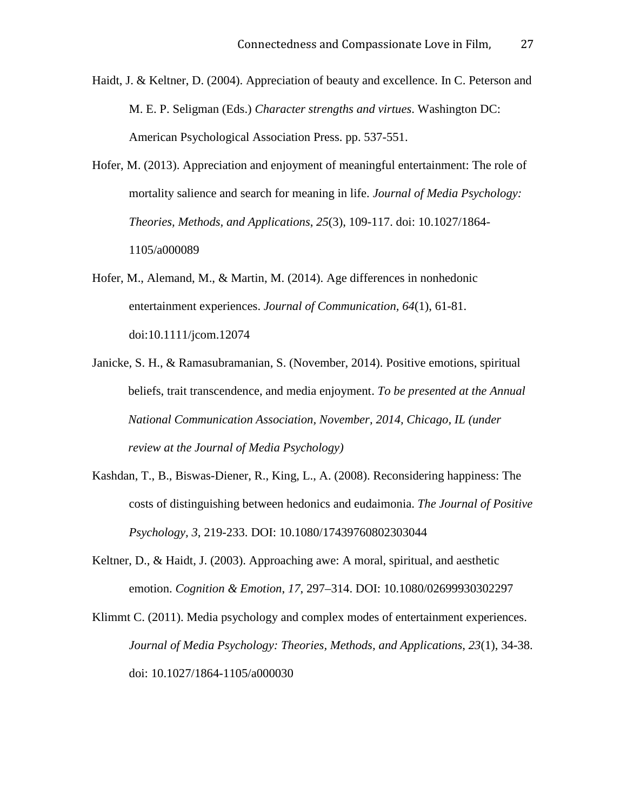- Haidt, J. & Keltner, D. (2004). Appreciation of beauty and excellence. In C. Peterson and M. E. P. Seligman (Eds.) *Character strengths and virtues*. Washington DC: American Psychological Association Press. pp. 537-551.
- Hofer, M. (2013). Appreciation and enjoyment of meaningful entertainment: The role of mortality salience and search for meaning in life. *Journal of Media Psychology: Theories, Methods, and Applications*, *25*(3), 109-117. doi: 10.1027/1864- 1105/a000089
- Hofer, M., Alemand, M., & Martin, M. (2014). Age differences in nonhedonic entertainment experiences. *Journal of Communication, 64*(1), 61-81. doi:10.1111/jcom.12074
- Janicke, S. H., & Ramasubramanian, S. (November, 2014). Positive emotions, spiritual beliefs, trait transcendence, and media enjoyment. *To be presented at the Annual National Communication Association, November, 2014, Chicago, IL (under review at the Journal of Media Psychology)*
- Kashdan, T., B., Biswas-Diener, R., King, L., A. (2008). Reconsidering happiness: The costs of distinguishing between hedonics and eudaimonia. *The Journal of Positive Psychology, 3*, 219-233. DOI: 10.1080/17439760802303044
- Keltner, D., & Haidt, J. (2003). Approaching awe: A moral, spiritual, and aesthetic emotion. *Cognition & Emotion*, *17*, 297–314. DOI: 10.1080/02699930302297
- Klimmt C. (2011). Media psychology and complex modes of entertainment experiences. *Journal of Media Psychology: Theories, Methods, and Applications*, *23*(1), 34-38. doi: 10.1027/1864-1105/a000030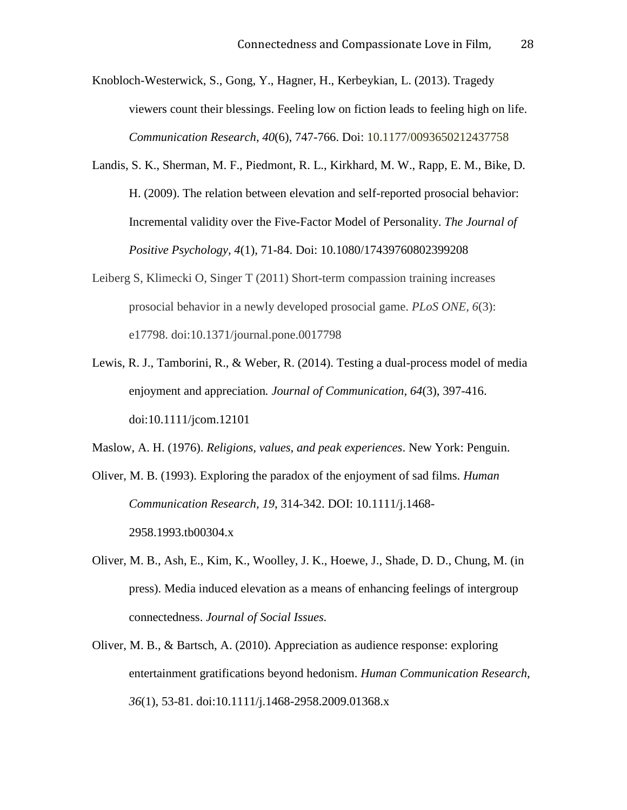Knobloch-Westerwick, S., Gong, Y., Hagner, H., Kerbeykian, L. (2013). Tragedy viewers count their blessings. Feeling low on fiction leads to feeling high on life. *Communication Research*, *40*(6), 747-766. Doi: 10.1177/0093650212437758

- Landis, S. K., Sherman, M. F., Piedmont, R. L., Kirkhard, M. W., Rapp, E. M., Bike, D. H. (2009). The relation between elevation and self-reported prosocial behavior: Incremental validity over the Five-Factor Model of Personality. *The Journal of Positive Psychology, 4*(1), 71-84. Doi: 10.1080/17439760802399208
- Leiberg S, Klimecki O, Singer T (2011) Short-term compassion training increases prosocial behavior in a newly developed prosocial game. *PLoS ONE, 6*(3): e17798. doi:10.1371/journal.pone.0017798
- Lewis, R. J., Tamborini, R., & Weber, R. (2014). Testing a dual-process model of media enjoyment and appreciation*. Journal of Communication, 64*(3), 397-416. doi:10.1111/jcom.12101

Maslow, A. H. (1976). *Religions, values, and peak experiences*. New York: Penguin.

Oliver, M. B. (1993). Exploring the paradox of the enjoyment of sad films. *Human Communication Research, 19*, 314-342. DOI: 10.1111/j.1468- 2958.1993.tb00304.x

- Oliver, M. B., Ash, E., Kim, K., Woolley, J. K., Hoewe, J., Shade, D. D., Chung, M. (in press). Media induced elevation as a means of enhancing feelings of intergroup connectedness. *Journal of Social Issues.*
- Oliver, M. B., & Bartsch, A. (2010). Appreciation as audience response: exploring entertainment gratifications beyond hedonism. *Human Communication Research*, *36*(1), 53-81. doi:10.1111/j.1468-2958.2009.01368.x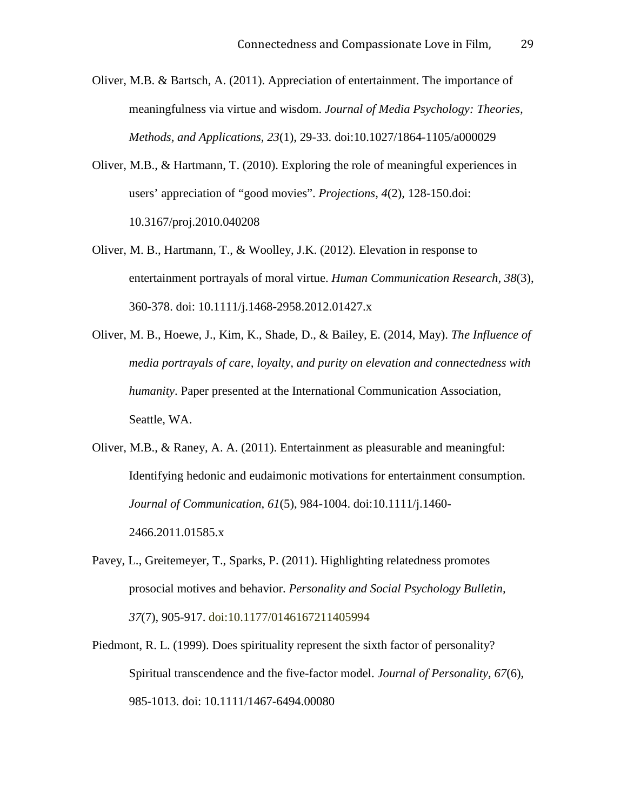- Oliver, M.B. & Bartsch, A. (2011). Appreciation of entertainment. The importance of meaningfulness via virtue and wisdom. *Journal of Media Psychology: Theories, Methods, and Applications, 23*(1), 29-33. doi:10.1027/1864-1105/a000029
- Oliver, M.B., & Hartmann, T. (2010). Exploring the role of meaningful experiences in users' appreciation of "good movies". *Projections, 4*(2), 128-150.doi: 10.3167/proj.2010.040208
- Oliver, M. B., Hartmann, T., & Woolley, J.K. (2012). Elevation in response to entertainment portrayals of moral virtue. *Human Communication Research, 38*(3), 360-378. doi: 10.1111/j.1468-2958.2012.01427.x
- Oliver, M. B., Hoewe, J., Kim, K., Shade, D., & Bailey, E. (2014, May). *The Influence of media portrayals of care, loyalty, and purity on elevation and connectedness with humanity*. Paper presented at the International Communication Association, Seattle, WA.
- Oliver, M.B., & Raney, A. A. (2011). Entertainment as pleasurable and meaningful: Identifying hedonic and eudaimonic motivations for entertainment consumption. *Journal of Communication*, *61*(5), 984-1004. doi:10.1111/j.1460- 2466.2011.01585.x
- Pavey, L., Greitemeyer, T., Sparks, P. (2011). Highlighting relatedness promotes prosocial motives and behavior. *Personality and Social Psychology Bulletin, 37*(7), 905-917. doi:10.1177/0146167211405994
- Piedmont, R. L. (1999). Does spirituality represent the sixth factor of personality? Spiritual transcendence and the five-factor model. *Journal of Personality, 67*(6), 985-1013. doi: 10.1111/1467-6494.00080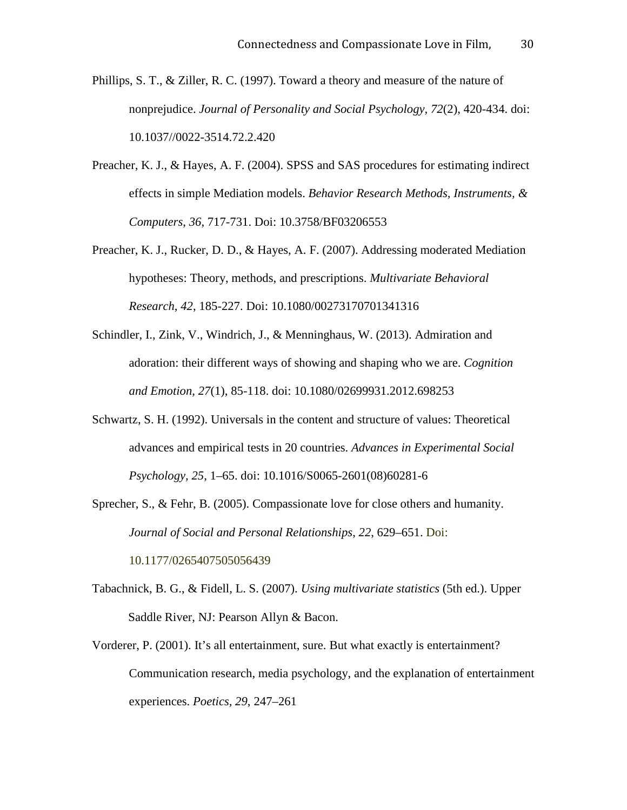- Phillips, S. T., & Ziller, R. C. (1997). Toward a theory and measure of the nature of nonprejudice. *Journal of Personality and Social Psychology, 72*(2), 420-434. doi: 10.1037//0022-3514.72.2.420
- Preacher, K. J., & Hayes, A. F. (2004). SPSS and SAS procedures for estimating indirect effects in simple Mediation models. *Behavior Research Methods, Instruments, & Computers*, *36*, 717-731. Doi: 10.3758/BF03206553
- Preacher, K. J., Rucker, D. D., & Hayes, A. F. (2007). Addressing moderated Mediation hypotheses: Theory, methods, and prescriptions. *Multivariate Behavioral Research*, *42*, 185-227. Doi: 10.1080/00273170701341316
- Schindler, I., Zink, V., Windrich, J., & Menninghaus, W. (2013). Admiration and adoration: their different ways of showing and shaping who we are. *Cognition and Emotion, 27*(1), 85-118. doi: 10.1080/02699931.2012.698253
- Schwartz, S. H. (1992). Universals in the content and structure of values: Theoretical advances and empirical tests in 20 countries. *Advances in Experimental Social Psychology, 25*, 1–65. doi: 10.1016/S0065-2601(08)60281-6
- Sprecher, S., & Fehr, B. (2005). Compassionate love for close others and humanity. *Journal of Social and Personal Relationships*, *22*, 629–651. Doi: 10.1177/0265407505056439
- Tabachnick, B. G., & Fidell, L. S. (2007). *Using multivariate statistics* (5th ed.). Upper Saddle River, NJ: Pearson Allyn & Bacon.
- Vorderer, P. (2001). It's all entertainment, sure. But what exactly is entertainment? Communication research, media psychology, and the explanation of entertainment experiences. *Poetics, 29*, 247–261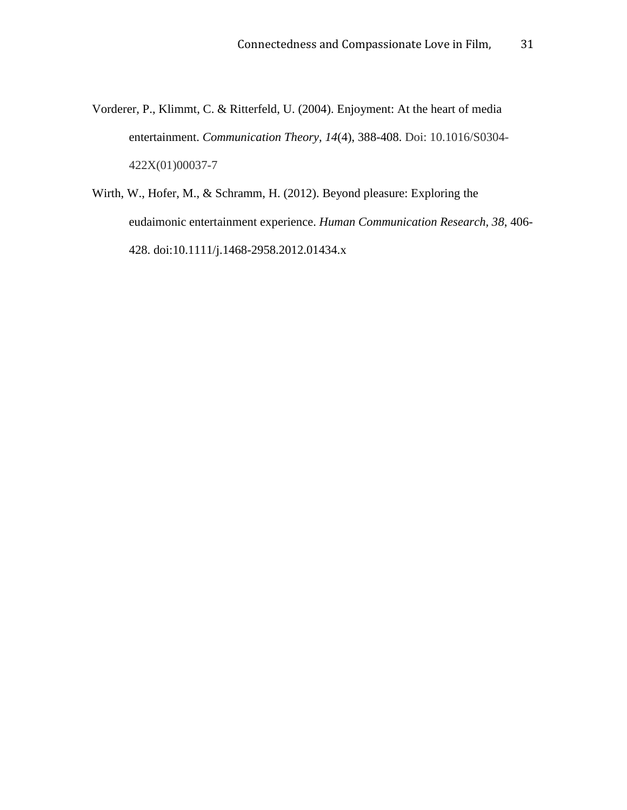- Vorderer, P., Klimmt, C. & Ritterfeld, U. (2004). Enjoyment: At the heart of media entertainment. *Communication Theory, 14*(4), 388-408. Doi: 10.1016/S0304- 422X(01)00037-7
- Wirth, W., Hofer, M., & Schramm, H. (2012). Beyond pleasure: Exploring the eudaimonic entertainment experience. *Human Communication Research, 38*, 406- 428. doi:10.1111/j.1468-2958.2012.01434.x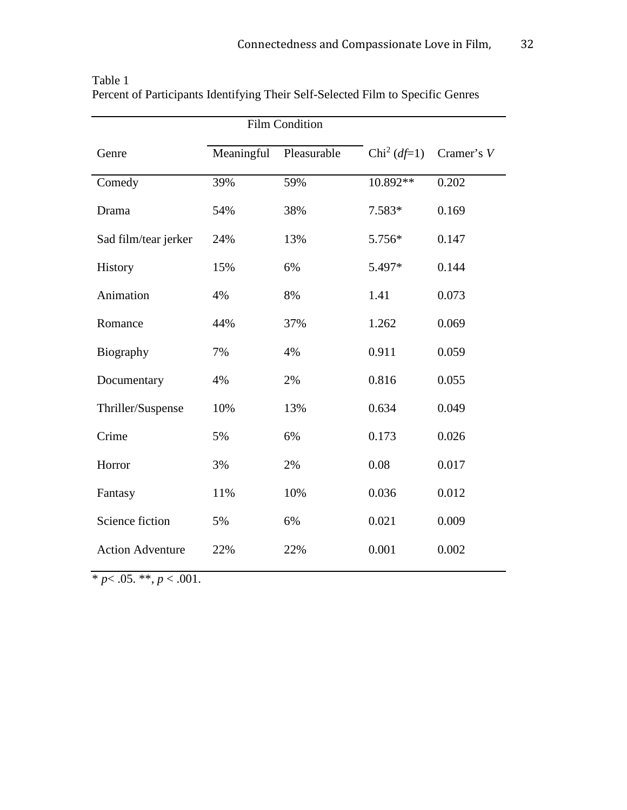|                         |            | <b>Film Condition</b> |                             |            |  |
|-------------------------|------------|-----------------------|-----------------------------|------------|--|
| Genre                   | Meaningful | Pleasurable           | Chi <sup>2</sup> ( $df=1$ ) | Cramer's V |  |
| Comedy                  | 39%        | 59%                   | 10.892**                    | 0.202      |  |
| Drama                   | 54%        | 38%                   | 7.583*                      | 0.169      |  |
| Sad film/tear jerker    | 24%        | 13%                   | 5.756*                      | 0.147      |  |
| History                 | 15%        | 6%                    | 5.497*                      | 0.144      |  |
| Animation               | 4%         | 8%                    | 1.41                        | 0.073      |  |
| Romance                 | 44%        | 37%                   | 1.262                       | 0.069      |  |
| Biography               | 7%         | 4%                    | 0.911                       | 0.059      |  |
| Documentary             | 4%         | 2%                    | 0.816                       | 0.055      |  |
| Thriller/Suspense       | 10%        | 13%                   | 0.634                       | 0.049      |  |
| Crime                   | 5%         | 6%<br>0.173           |                             | 0.026      |  |
| Horror                  | 3%         | 2%                    | 0.08                        |            |  |
| Fantasy                 | 11%        | 10%                   | 0.036                       | 0.012      |  |
| Science fiction         | 5%         | 6%                    | 0.021                       | 0.009      |  |
| <b>Action Adventure</b> | 22%        | 22%                   | 0.001                       | 0.002      |  |

| Table 1                                                                         |  |
|---------------------------------------------------------------------------------|--|
| Percent of Participants Identifying Their Self-Selected Film to Specific Genres |  |

 $*$  *p* < .05. \*\*, *p* < .001.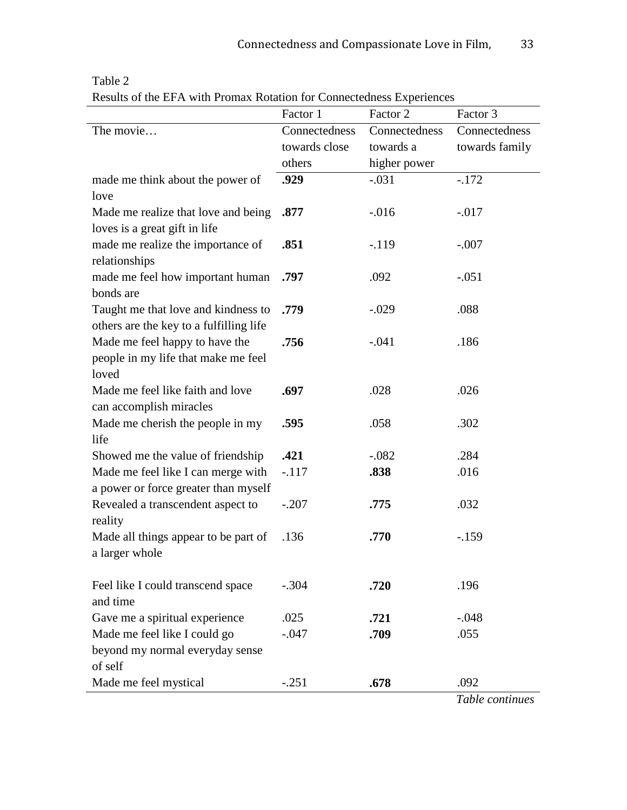|                                                 | Factor 1      | Factor 2      | Factor 3       |  |
|-------------------------------------------------|---------------|---------------|----------------|--|
| The movie                                       | Connectedness | Connectedness | Connectedness  |  |
|                                                 | towards close | towards a     | towards family |  |
|                                                 | others        | higher power  |                |  |
| made me think about the power of                | .929          | $-.031$       | $-.172$        |  |
| love                                            |               |               |                |  |
| Made me realize that love and being             | .877          | $-0.016$      | $-0.017$       |  |
| loves is a great gift in life                   |               |               |                |  |
| made me realize the importance of               | .851          | $-.119$       | $-.007$        |  |
| relationships                                   |               |               |                |  |
| made me feel how important human                | .797<br>.092  |               | $-.051$        |  |
| bonds are                                       |               |               |                |  |
| Taught me that love and kindness to             | .779          | $-.029$       | .088           |  |
| others are the key to a fulfilling life         |               |               |                |  |
| Made me feel happy to have the                  | .756          | $-.041$       | .186           |  |
| people in my life that make me feel             |               |               |                |  |
| loved                                           |               |               |                |  |
| Made me feel like faith and love                | .697          | .028          | .026           |  |
| can accomplish miracles                         |               |               |                |  |
| Made me cherish the people in my                | .595          | .058          | .302           |  |
| life                                            |               |               |                |  |
| Showed me the value of friendship               | .421          | $-.082$       | .284           |  |
| Made me feel like I can merge with              | $-.117$       | .838          | .016           |  |
| a power or force greater than myself            |               |               |                |  |
| Revealed a transcendent aspect to               | $-.207$       | .775          | .032           |  |
| reality<br>Made all things appear to be part of | .136          | .770          | $-159$         |  |
| a larger whole                                  |               |               |                |  |
|                                                 |               |               |                |  |
| Feel like I could transcend space               | $-.304$       | .720          | .196           |  |
| and time                                        |               |               |                |  |
| Gave me a spiritual experience                  | .025          | .721          | $-.048$        |  |
| Made me feel like I could go                    | $-0.047$      | .709          | .055           |  |
| beyond my normal everyday sense                 |               |               |                |  |
| of self                                         |               |               |                |  |
| Made me feel mystical                           | $-.251$       | .678          | .092           |  |
|                                                 |               |               |                |  |

### Table 2

Results of the EFA with Promax Rotation for Connectedness Experiences

*Table continues*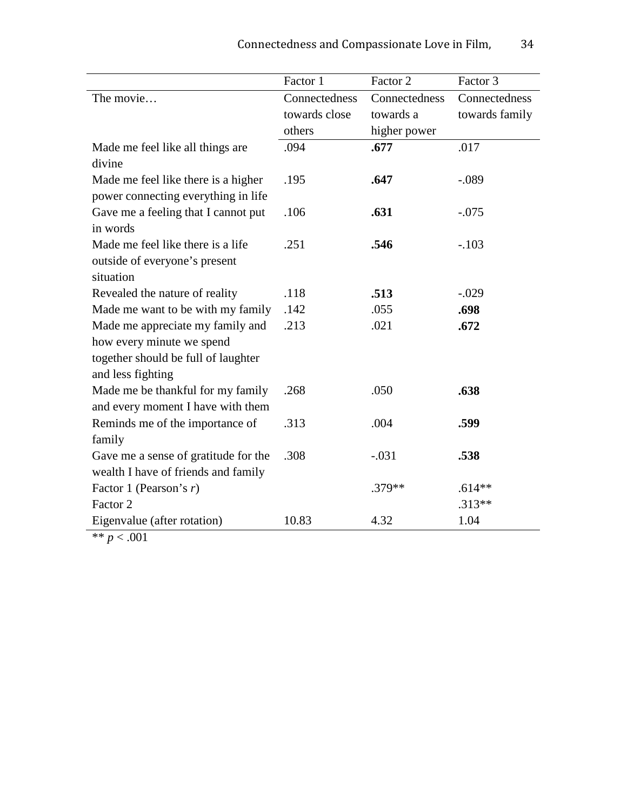|                                                                                                                           | Factor 1      | Factor 2      | Factor 3       |  |
|---------------------------------------------------------------------------------------------------------------------------|---------------|---------------|----------------|--|
| The movie                                                                                                                 | Connectedness | Connectedness | Connectedness  |  |
|                                                                                                                           | towards close | towards a     | towards family |  |
|                                                                                                                           | others        | higher power  |                |  |
| Made me feel like all things are<br>divine                                                                                | .094          | .677          | .017           |  |
| Made me feel like there is a higher<br>power connecting everything in life                                                | .195          | .647          | $-.089$        |  |
| Gave me a feeling that I cannot put<br>in words                                                                           | .106          | .631          | $-.075$        |  |
| Made me feel like there is a life<br>outside of everyone's present<br>situation                                           | .251          | .546          | $-.103$        |  |
| Revealed the nature of reality                                                                                            | .118          | .513          | $-.029$        |  |
| Made me want to be with my family                                                                                         | .142          | .055          | .698           |  |
| Made me appreciate my family and<br>how every minute we spend<br>together should be full of laughter<br>and less fighting | .213          | .021          | .672           |  |
| Made me be thankful for my family<br>and every moment I have with them                                                    | .268          | .050          | .638           |  |
| Reminds me of the importance of<br>family                                                                                 | .313          | .004          | .599           |  |
| Gave me a sense of gratitude for the<br>wealth I have of friends and family                                               | .308          | $-.031$       | .538           |  |
| Factor 1 (Pearson's $r$ )                                                                                                 |               | .379**        | $.614**$       |  |
| Factor 2                                                                                                                  |               |               | $.313**$       |  |
| Eigenvalue (after rotation)                                                                                               | 10.83         | 4.32          | 1.04           |  |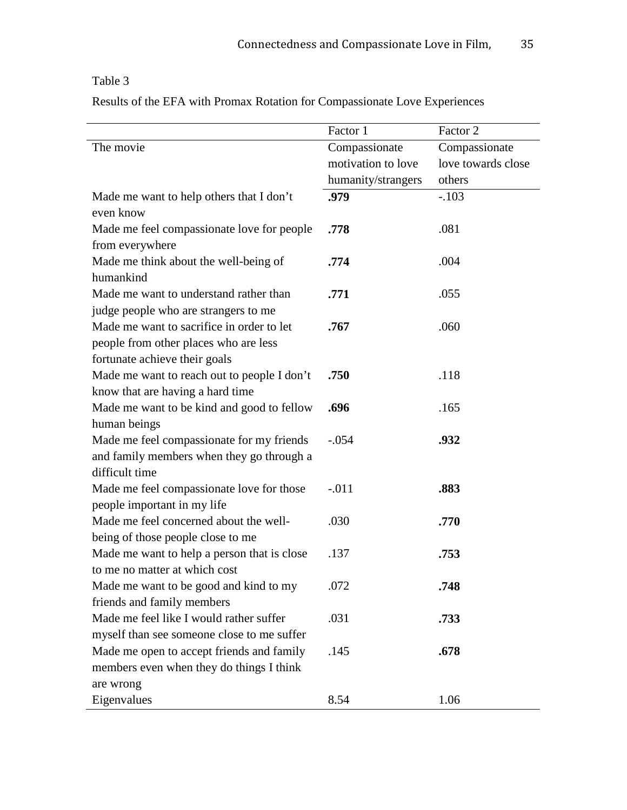### Table 3

Results of the EFA with Promax Rotation for Compassionate Love Experiences

|         | Factor 2                                                                              |
|---------|---------------------------------------------------------------------------------------|
|         | Compassionate                                                                         |
|         | love towards close                                                                    |
|         | others                                                                                |
|         | $-.103$                                                                               |
|         |                                                                                       |
| .778    | .081                                                                                  |
|         |                                                                                       |
| .774    | .004                                                                                  |
|         |                                                                                       |
| .771    | .055                                                                                  |
|         |                                                                                       |
| .767    | .060                                                                                  |
|         |                                                                                       |
|         |                                                                                       |
| .750    | .118                                                                                  |
|         |                                                                                       |
| .696    | .165                                                                                  |
|         |                                                                                       |
| $-.054$ | .932                                                                                  |
|         |                                                                                       |
|         |                                                                                       |
| $-.011$ | .883                                                                                  |
|         |                                                                                       |
|         | .770                                                                                  |
|         |                                                                                       |
| .137    | .753                                                                                  |
|         |                                                                                       |
| .072    | .748                                                                                  |
|         |                                                                                       |
| .031    | .733                                                                                  |
|         |                                                                                       |
| .145    | .678                                                                                  |
|         |                                                                                       |
|         |                                                                                       |
| 8.54    | 1.06                                                                                  |
|         | Factor 1<br>Compassionate<br>motivation to love<br>humanity/strangers<br>.979<br>.030 |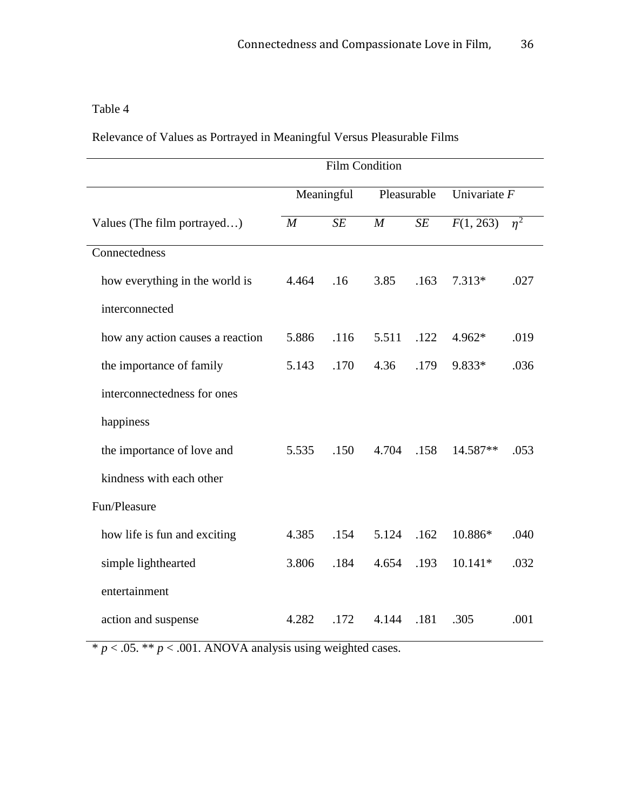## Table 4

Relevance of Values as Portrayed in Meaningful Versus Pleasurable Films

|                                  | <b>Film Condition</b> |      |                |      |                |       |
|----------------------------------|-----------------------|------|----------------|------|----------------|-------|
|                                  | Meaningful            |      | Pleasurable    |      | Univariate $F$ |       |
| Values (The film portrayed)      | M                     | SE   | $\overline{M}$ | SE   | F(1, 263)      | $n^2$ |
| Connectedness                    |                       |      |                |      |                |       |
| how everything in the world is   | 4.464                 | .16  | 3.85           | .163 | $7.313*$       | .027  |
| interconnected                   |                       |      |                |      |                |       |
| how any action causes a reaction | 5.886                 | .116 | 5.511          | .122 | 4.962*         | .019  |
| the importance of family         | 5.143                 | .170 | 4.36           | .179 | 9.833*         | .036  |
| interconnectedness for ones      |                       |      |                |      |                |       |
| happiness                        |                       |      |                |      |                |       |
| the importance of love and       | 5.535                 | .150 | 4.704          | .158 | 14.587**       | .053  |
| kindness with each other         |                       |      |                |      |                |       |
| Fun/Pleasure                     |                       |      |                |      |                |       |
| how life is fun and exciting     | 4.385                 | .154 | 5.124          | .162 | 10.886*        | .040  |
| simple lighthearted              | 3.806                 | .184 | 4.654          | .193 | $10.141*$      | .032  |
| entertainment                    |                       |      |                |      |                |       |
| action and suspense              | 4.282                 | .172 | 4.144          | .181 | .305           | .001  |

 $* p < .05. ** p < .001$ . ANOVA analysis using weighted cases.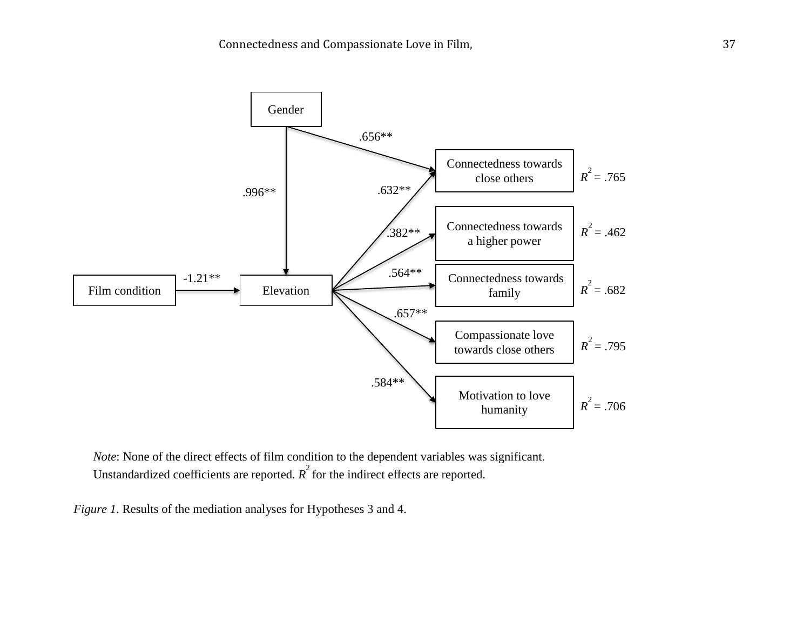

*Note*: None of the direct effects of film condition to the dependent variables was significant. Unstandardized coefficients are reported.  $R^2$  for the indirect effects are reported.

*Figure 1*. Results of the mediation analyses for Hypotheses 3 and 4.